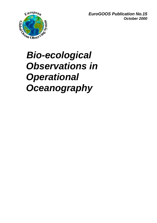*EuroGOOS Publication No.15 October 2000*



## *Bio-ecological Observations in Operational Oceanography*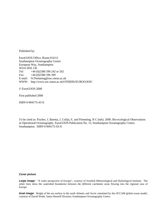Published by:

EuroGOOS Office, Room 014/12 Southampton Oceanography Centre European Way, Southampton SO14 3ZH, UK Tel: +44 (0)2380 596 242 or 262 Fax:  $+44(0)2380596399$ E-mail: N.Flemming@soc.soton.ac.uk WWW: http://www.soc.soton.ac.uk/OTHERS/EUROGOOS/

© EuroGOOS 2000

First published 2000

ISBN 0-904175-43-X

To be cited as: Fischer, J, Baretta, J, Colijn, F, and Flemming, N C (eds). 2000. Bio-ecological Observations in Operational Oceanography. EuroGOOS Publication No. 15, Southampton Oceanography Centre, Southampton. ISBN 0-904175-43-X

#### *Cover picture*

*Large image:* "A water perspective of Europe", courtesy of Swedish Meteorological and Hydrological Institute. The white lines show the watershed boundaries between the different catchment areas flowing into the regional seas of Europe.

*Inset image:* Height of the sea surface in the north Atlantic and Arctic simulated by the OCCAM global ocean model, courtesy of David Webb, James Rennell Division, Southampton Oceanography Centre.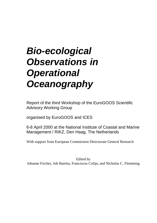## *Bio-ecological Observations in Operational Oceanography*

Report of the third Workshop of the EuroGOOS Scientific Advisory Working Group

organised by EuroGOOS and ICES

6-8 April 2000 at the National Institute of Coastal and Marine Management / RIKZ, Den Haag, The Netherlands

With support from European Commission Directorate General Research

Edited by Johanne Fischer, Job Baretta, Franciscus Colijn, and Nicholas C. Flemming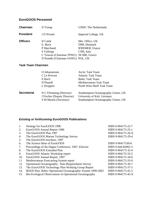#### **EuroGOOS Personnel**

| Chairman         | D Tromp                                                                                                                        | UNEP, The Netherlands                                                   |
|------------------|--------------------------------------------------------------------------------------------------------------------------------|-------------------------------------------------------------------------|
| <b>President</b> | J D Woods                                                                                                                      | Imperial College, UK                                                    |
| <b>Officers</b>  | H Cattle<br>E. Buch<br>P Marchand<br>S Vallerga<br>C Tziavos (Chairman TPWG) NCMR, Greece<br>D Prandle (Chairman SAWG) POL, UK | Met. Office, UK<br>DMI, Denmark<br><b>IFREMER, France</b><br>CNR, Italy |

#### **Task Team Chairmen**

|                    | O Johannessen                                                                    | Arctic Task Team                                                                                          |
|--------------------|----------------------------------------------------------------------------------|-----------------------------------------------------------------------------------------------------------|
|                    | C Le Provost                                                                     | <b>Atlantic Task Team</b>                                                                                 |
|                    | E Buch                                                                           | <b>Baltic Task Team</b>                                                                                   |
|                    | N Pinardi                                                                        | Mediterranean Task Team                                                                                   |
|                    | L Droppert                                                                       | North West Shelf Task Team                                                                                |
| <b>Secretariat</b> | N C Flemming (Director)<br>J Fischer (Deputy Director)<br>S M Marine (Secretary) | Southampton Oceanography Centre, UK<br>University of Kiel, Germany<br>Southampton Oceanography Centre, UK |
|                    |                                                                                  |                                                                                                           |

### *Existing or forthcoming EuroGOOS Publications:*

| 1.  | Strategy for EuroGOOS 1996                                   | ISBN 0-904175-22-7 |
|-----|--------------------------------------------------------------|--------------------|
| 2.  | EuroGOOS Annual Report 1996                                  | ISBN 0-904175-25-1 |
| 3.  | The EuroGOOS Plan 1997                                       | ISBN 0-904175-26-X |
| 4.  | The EuroGOOS Marine Technology Survey                        | ISBN 0-904175-29-4 |
| 5.  | The EuroGOOS brochure, 1997                                  |                    |
| 6.  | The Science Base of EuroGOOS                                 | ISBN 0-90417530-8  |
| 7.  | Proceedings of the Hague Conference, 1997, Elsevier          | ISBN 0-444-82892-3 |
| 8.  | The EuroGOOS Extended Plan                                   | ISBN 0-904175-32-4 |
| 9.  | EuroGOOS Atlantic Workshop report                            | ISBN 0-904175-33-2 |
| 10. | EuroGOOS Annual Report, 1997                                 | ISBN 0-904175-34-0 |
| 11. | Mediterranean Forecasting System report                      | ISBN 0-904175-35-9 |
| 12. | <b>Operational Oceanography: Data Requirements Survey</b>    | ISBN 0-904175-36-7 |
| 13. | The EuroGOOS Technology Plan Working Group Report            | ISBN 0-904175-37-5 |
| 14. | BOOS Plan. Baltic Operational Oceanographic System 1999-2003 | ISBN 0-904175-41-3 |
| 15. | Bio-Ecological Observations in Operational Oceanography      | ISBN 0-904175-43-X |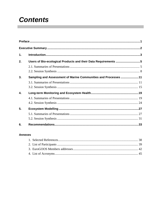## **Contents**

| 1. |                                                                |  |
|----|----------------------------------------------------------------|--|
| 2. | Users of Bio-ecological Products and their Data Requirements 5 |  |
|    |                                                                |  |
|    |                                                                |  |
| 3. | Sampling and Assessment of Marine Communities and Processes 11 |  |
|    |                                                                |  |
|    |                                                                |  |
| 4. |                                                                |  |
|    |                                                                |  |
|    |                                                                |  |
| 5. |                                                                |  |
|    |                                                                |  |
|    |                                                                |  |
| 6. |                                                                |  |

#### **Annexes**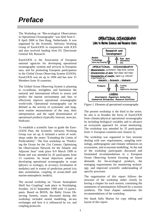## *Preface*

The Workshop on "Bio-ecological Observations in Operational Oceanography" was held from 6 - 8 April 2000 in Den Haag, Netherlands. It was organised by the Scientific Advisory Working Group of EuroGOOS in conjunction with ICES and also received funding from EU Directorate General XII, Research.

EuroGOOS is the Association of European national agencies for developing operational oceanographic systems and services in European seas, and for promoting European participation in the Global Ocean Observing System (GOOS). EuroGOOS was set up in 1994 and has now 31 Members from 16 countries.

The Global Ocean Observing System is planning to co-ordinate, strengthen, and harmonise the national and international efforts to assess and predict the marine environment and thus to effectively improve operational oceanography world-wide. Operational oceanography can be defined as the activity of systematic and longterm routine measurements of the seas, their interpretation, and the rapid dissemination of operational products (typically forecast, nowcast, hindcast).

To establish a scientific base to guide the Euro-GOOS Plan, the Scientific Advisory Working Group was set up. It initiated a series of workshops under the motto "Extending the Limits of Predictability". The first workshop on "Predicting the Ocean for the 21st Century. Optimising the Observations Network for the Atlantic and Adjacent Seas" took place 8-9 March 1999 in Rome and was attended by 45 participants from 13 countries. Its broad objectives aimed at developing operational oceanography in scope (physics to ecology), in accuracy (evaluation of modules) and in extent of prediction period (via data assimilation, coupling of ocean-shelf and marine-atmospheric models).

The second workshop on "Ocean Atmosphere Shelf Sea Coupling" took place in Norrköping, Sweden, 14-15 September 1999 with 13 participants. Based on BOOS, the Baltic Ocean Observing System, issues discussed during this workshop included nested modelling, air-sea exchanges and how it is influenced by ice, and coupling protocols.



*Figure 1. Elements of operational oceanography*

The present workshop is the third in the series. Its aim is to broaden the focus of EuroGOOS from climatic/physical operational oceanography by including biological variables and to advance an ecosystem approach for ocean monitoring. The workshop was attended by 35 participants from 11 European countries (see Annexe 2).

The workshop was organised in four sessions dealing with user requirements, sampling technology, anthropogenic and climatic influences on ecosystems, and ecosystem modelling. At the end of the workshop participants discussed and formulated recommendations to a European Ocean Observing System focusing on future demands for bio-ecological products, the emerging requirements for monitoring technology, and improved scientific understanding of specific processes.

The organisation of this report follows the structure of the workshop rather closely by having a chapter for each session, containing the summaries of presentations followed by a session synthesis. The final chapter summarises the recommendations of the workshop.

We thank Sally Marine for copy editing and layout of this report.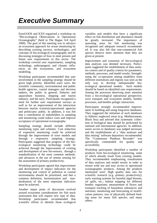## *Executive Summary*

EuroGOOS and ICES organised a workshop on "Bio-ecological Observations in Operational Oceanography" (held in The Hague, 6-8 April 2000). The goal of this meeting was to advance an ecosystem approach for ocean monitoring by describing existing surveys, technologies, and concepts of bio-ecological oceanography and by discussing strategies of how to meet present and future user requirements in this sector. The workshop covered user requirements, sampling technology, anthropogenic and climatic influences on the ecosystems, and ecosystem modelling.

Workshop participants recommended that user involvement in the sampling strategy should be given high priority. Identified users were: the scientific community, environmental and public health agencies, coastal managers and decision makers, the public in general, fisheries and aquaculture business, shipping and tourist industry, and the navy. Participants recognised a need for further user requirement surveys as well as for an improvement of the interaction between marine scientists/operational agencies and politicians/ public. In addition, it was felt that a contribution of stakeholders to sampling and monitoring could reduce costs and improve acceptance of operational oceanography.

Sampling strategy should include different monitoring types and schemes. Cost reduction of expensive monitoring could be achieved through the improvement of error models and through a responsive sampling strategy. Participants suggested that progress of the bioecological monitoring technology could be achieved through the improvement of existing and development of new bio-sensors, through a standardisation of the most common methods, and advances in the use of remote sensing for the assessment of primary productivity.

Workshop participants agreed that improvement and development of impact indicators for the monitoring and control of pollution in coastal environments should be prioritised, and that a common definition, harmonisation and standardisation of the most important indicators must be achieved.

Another major point of discussion evolved around ecosystem considerations for fish stock assessment that will require new type of data. Workshop participants recommended that scientific efforts to identify those ecological

variables and models that have a significant effect on fish distribution and abundance should be greatly increased. The importance of spawning areas for fish monitoring was recognised and adequate research recommended. It was also felt that non-commercial fish species deserve more attention than they are given at present.

Improvement and extension of bio-ecological data analyses was deemed necessary. Participants suggested the establishment of data analyses centres and of quality criteria for parameters, methods, processes, and model results. Strengthening the co-operation among modellers from different institutions and regions was seen as the only way to develop indispensable bioecological operational models. Such models should be based on identified user requirements. Among the processes deserving more attention from a bio-ecological operational perspective, were transport and ecosystem models, benthic processes, and benthic-pelagic interaction.

Participants strongly recommended improvement in building and using long-term databases. They suggested the initiation of such databases in hitherto neglected areas (e.g. Mediterranean, Black Sea) and advised that systematic collection of biological data should be performed by national and international agencies. In addition, easier access to databases was judged necessary and the establishment of a "data analyses and data mining" software depository recommended. The "Continuous Plankton Recorder" was specifically commended for quality and accessibility.

Workshop participants identified a number of products from bio-ecological monitoring, some of which already result from existing models. They recommended emphasising visualisation of data analyses and model results in order to ensure wide use and easy access to operational oceanographic products. Among the products mentioned were: High quality data sets for scientific research (e.g. primary productivity); early warning systems for harmful algal blooms, oil spills, etc.; habitat mapping for different benthic organisms; measurement of fluxes and transport tracking of hazardous substances and nutrients; monitoring and forecasting of stratification patterns; size of physically defined feeding areas for many fish species; and many others.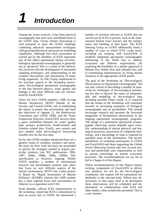## *1 Introduction*

Among the ocean sciences, it has been physical oceanography that until now contributed most to the GOOS aims. Ocean climate forecasting is well prepared to meet the GOOS challenge combining advanced measurement techniques with growing theoretical and practical modelling capabilities. Although fish stock assessment as carried out by the members of ICES represents one of the oldest operational marine activities, biological operational oceanography is generally not as advanced. This is a result of the difficulties involved with the development of automated sampling techniques, and understanding of the complex fluctuations and distribution of many living organisms. As Dik Tromp emphasised in his welcome speech to the Workshop participants, bio-ecological operational oceanography or the link between physics, water quality and biology is the most difficult task yet encountered by EuroGOOS.

Three (of five) GOOS modules, LMR (Living Marine Resources), HOTO (Health of the Ocean), and Coastal GOOS, aim at establishing the means to protect the environment and meet the objectives of Agenda 21, the Biodiversity Convention (see GOOS 1998), and the Water Framework Directive. EuroGOOS surveys show a great unfulfilled demand for water quality data, primary productivity, health-related, and fisheries related data. Finally, new sensors and new models make bio-ecological forecasting feasible now for the first time.

So far, the GOOS modules mentioned have set a general frame of variables, products and possible users for their work but have not proceeded to specify the strategies needed to acquire particular products (see IOC publications 1996, 1997, 1998a, 1998b, 1999a, 1999b). This specification is, however, ongoing. Within GOOS modules, a number of international research and development projects take place that focus on very different aspects of the marine environment: HOTO has a pilot project in Brazil on "Rapid Assessment of Marine Pollution" (RAMP), whereas the LMR module has a more regional focus and concentrates on fisheries in co-operation with FAO.

Keith Brander, official ICES representative at the workshop, stated that ICES is determined to play an active role in GOOS. He mentioned a

number of activities relevant to GOOS that are carried out by ICES at present, such as the international bottom trawl surveys and the maintenance and building of data bases. The ICES Steering Group on GOOS additionally listed a number of ways in which ICES could assist, including (a) working with EuroGOOS to establish integrated operational oceanographic monitoring in the North Sea to address ecosystem and fisheries requirements, (b) exploring the feasibility of a similar approach in Barents Sea, Nordic Seas and Labrador Sea, and (c) nominating representatives on living marine resources to the appropriate GOOS panels.

The goal of the Workshop on "Bio-ecological Observations in Operational Oceanography" did not only consist in describing a number of stateof-the-art techniques of bio-ecological monitoring but also to discuss the status of interpretation and modelling of bio-ecological data including possible future trends. It is expected that the results of the Workshop will contribute towards an increasing awareness of biological oceanography and its possibilities. This should encourage research and promote the increased integration of biochemical observations in the ongoing operational oceanographic programs. The design of a permanent operational oceanographic observing system depends upon scientific understanding of marine physical and biological processes, possession of competent technology, and a knowledge of what is required by potential users of the information. The recommendations of workshop participants to GOOS and EuroGOOS and those supporting the Global Ocean Observing System take into account present and predictable user requirements as well as present knowledge on marine ecosystem processes. The recommendations are set out in full in Chapter 6 of this Report.

Where recommendations of this Report require existing components of EuroGOOS to deliver new products for use by the bio-ecological community, this request will be transmitted immediately to the relevant body. Where new observations or data types need to be developed, these observations will be scheduled and implemented, in collaborations with ICES and other bodies, when technically permitted. This is a new frontier.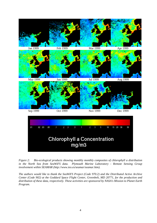

*Figure 2: Bio-ecological products showing monthly monthly composites of chlorophyll a distribution in the North Sea from SeaWiFS data. Plymouth Marine Laboratory - Remote Sensing Group involvement within SEAMAR (http://www.ieo.es/seamar/seamar.htm).*

*The authors would like to thank the SeaWiFS Project (Code 970.2) and the Distributed Active Archive Center (Code 902) at the Goddard Space Flight Center, Greenbelt, MD 20771, for the production and distribution of these data, respectively. These activities are sponsored by NASA's Mission to Planet Earth Program.*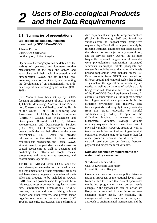## *2 Users of Bio-ecological Products and their Data Requirements*

#### **2.1 Summaries of presentations**

#### **Bio-ecological data requirements identified by GOOS/EuroGOOS**

Johanne Fischer EuroGOOS Secretariat Southampton, United Kingdom

Operational Oceanography can be defined as the activity of systematic and long-term routine measurements of the seas and oceans and atmosphere and their rapid interpretation and dissemination. GOOS and its regional programmes, such as EuroGOOS, are promoting the development of an internationally co-ordinated operational oceanographic system (IOC, 1998).

Five Modules have been set up by GOOS focusing on different aspects of such a system: 1) Climate Monitoring, Assessment and Prediction, 2) Assessment and Prediction of the Health of the Ocean (HOTO), 3) Monitoring and Assessment of Living Marine Resources (LMR), 4) Coastal Seas Management and Development (Coastal GOOS), 5) Marine Meteorological and Oceanographic Services (IOC 1998a). HOTO concentrates on anthropogenic activities and their effects on the ocean environments, LMR wants to provide information on the state of living marine resources and ecosystems, and Coastal GOOS aims at quantifying perturbations and stresses to coastal ecosystems as well as detecting and predicting their effects on people, coastal ecosystems and living marine resources, and coastal marine operations.

The HOTO, LMR and Coastal GOOS Panels are each developing strategies for the development and implementation of their respective products and have already suggested a number of variables and products to be included in GOOS. LMR identified possible users for products from this sector, most prominently regulatory agencies, environmental organisations, wildlife reserves, tourism and sports fishing, climate change and other research, and private sector organisations impacting the environment (IOC 1998b). Recently, EuroGOOS has performed a

data requirement survey in 6 European countries (Fischer & Flemming 1999) and found that variables from the Biogeochemical group were requested by 40% of all participants, mainly by research institutes, environmental organisations, the private food sector (especially aquaculture), and the services sector. Overall, the six most frequently requested biogeochemical variables were phytoplankton composition, suspended sediments, chlorophyll, nitrate, phosphate and oxygen. It should be noted that no trophic levels beyond zooplankton were included on the list. Data products from GOOS are needed on different spatial and temporal scales that depend very much on the application for which they are needed as well as on the type of variable that is being requested. This is reflected in the results of the EuroGOOS Data Requirement Survey. In contrast to other variables, the highest demand for biogeochemical data products is in the estuarine environment and relatively long forecast periods tend to apply to many variables from this group, especially to harmful substances (e.g. PAHs). In spite of the difficulties involved in measuring many biochemical variables, average variable accuracy requested is not lower than that of physical variables. However, spatial as well as temporal resolution required for biogeochemical operational products tend to be coarser than for other products whereas no differences in vertical resolution can be detected between physical and biogeochemical variables.

#### **Data and technology requirements for water quality assessment**

S J Malcolm & D K Mills CEFAS Lowestoft Laboratory Lowestoft, United Kingdom

Government needs for data are policy driven at national, European or international level. Apart from a desire to ensure that current operational monitoring programmes meet present needs changes in the approach to data collection are likely to be required in the future to meet changing policy needs. For example, the emergence of requirements for an ecosystem approach to environmental management and the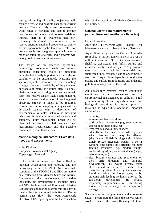setting of ecological quality objectives will require a review and possible changes in current practice. There is likely a need to measure a wider range of variables and also to include measurement of rates as well as state variables. Further, there is an awareness that lowfrequency ship-based observations do not resolve environmental and ecosystem variability at the appropriate spatio-temporal scales for present needs. An integrated approach using a range of sampling strategies and platforms will be required to meet the future needs.

The design of an effective operational monitoring programme needs to address questions concerning choice of measured variables but equally important are the scales of variability to be encountered. Matching the spatio-temporal resolution of the sampling strategy to scales of variability of the parameter or process of interest is a critical step. No single platform (mooring, drifting buoy, survey vessel, ferry) can resolve all the likely spatio-temporal scales of interest and as a result an integrated observing strategy is likely to be required. Current and future sampling strategies will be described together with a description of environmental variables that may be measured using readily available automated sensors and samplers. Future measurement needs will be identified in terms of platforms and new measurement requirements and the possible candidates to meet those needs.

#### **Marine biological indicators: EEA's data needs and assessments**

Anita Künitzer European Environmental Agency Kopenhagen, Denmark

EEA's work in general on data collection, indicator development and reporting and the networking within EIONET (is presented. Activities of the ETC/MCE and EEA on marine data collection from Member States and Marine Conventions, the development of marine indicators, the development of thematic maps and GIS, the Inter-regional Forum with Marine Conventions and marine assessments are shown. Finally, the future aims and activities of EEA on marine data flow, the Water-Framework Directive, EEA-reporting and the harmonisation with similar activities of Marine Conventions are outlined.

#### **Coastal users' data requirements (aquaculture and small-scale fisheries)**

#### Harald Rosenthal

Abteilung Fischereibiologie, Institut für Meereskunde an der Universität Kiel, Germany

Aquaculture has grown over the past 3 decades from about 5 million tonnes in 1973 to over 36 million tonnes in 1998. It includes seaweed shellfish, crustacean, and finfish culture and utilises a variety of culture systems (e.g. onshore tank and pond facilities, inter-tidal and submerged units, offshore floating or submerged structures). Aquaculture depends on good water quality and suffers from domestic and industrial pollution in many parts of the world.

All aquaculture systems require continuous monitoring for farm management and for environmental management. In addition, a full year monitoring of water quality, climate, and biological conditions is needed prior to installing an aquaculture operation. Important variables are:

- currents.
- extreme weather conditions
- cold spells early warnings (e.g. super-cooling effects in northern climates)
- temperatures and salinity changes
- oil spills and their near shore drift to predict which farming units may be affected (shellfish and finfish farming) and to initiate timely rescue measures. Usually a 10 hr warning time should be sufficient for most floating structures (e.g. modern singleanchored cages) or pre-harvest stocks (cages, raft-cultures, etc)
- algal bloom warnings and predictions on<br>their drift direction and temporal drift direction and temporal development. This would greatly assist shellfish and finfish farms to secure their operation by either lowering the cages on long-lines below the bloom layer, or by stopping fish feeding 10 hours prior to the full-bloom development (to reduce respiratory requirements of fish during bloom exposure when gills are temporarily damaged).

Such monitoring programmes could - to some extent - incorporate the farms themselves which would enhance the cost-efficiency of trend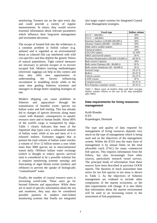monitoring. Farmers are on the spot every day and could provide a variety of regular measurements. In return, they would receive essential information about relevant parameters which influence their long-term management and investment decisions.

The escape of farmed fish into the wilderness is a common problem in finfish culture (e.g. salmon) and is regarded as an environmental threat as cultured fish can interbreed with wild con-specifics and thus deplete the genetic fitness of natural populations. Tight control measures are necessary to prevent escapes or to recover escaped fish. Modern tracking methodologies (electronic tagging) can help in this context and may also offer new opportunities in understanding the factors influencing recruitment in straddling stocks while at the same time guiding fisheries scientists and managers to design better sampling strategies on site.

Modern shipping can cause problems to fisheries and aquaculture through the transmission of harmful exotic species via ballast water and hull fouling. This has already led to changes of species diversity along many coasts with dramatic consequences to aquatic resource users and to human health. About 80% of the world's cargo is transported by ships. Table 1 clearly indicates that most of the important ship types carry a substantial amount of ballast water while at sea and most of it is released inshore. Estimates suggest that at present the total volume of ballast water reaches a volume of 10 to 12 billion tonnes a year while more than 3000 species are in intercontinental transit daily. Offshore ballast water exchange (which is thought to reduce species survival rate) is considered to be a possible solution but it requires monitoring (remote sensing) and forecasting of algal bloom events (inshore and offshore) to prevent the uptake of biologically "contaminated" water.

Finally, the number of coastal resource users is increasing world-wide. These users go far beyond fisheries and aquaculture. While these are in need of specific information about the sea and seashores, they may also be considered possible partners in modern inter-linked monitoring systems that finally are integrated

into larger expert systems for Integrated Coastal Zone Management strategies.

| <b>Vessel type</b>                         | <b>Ballast volume</b> |  |  |  |
|--------------------------------------------|-----------------------|--|--|--|
| $ULCC > 300,000$ t                         | 30%                   |  |  |  |
| VLCC > 200,000 t                           | 30%                   |  |  |  |
| Suezmax Tankers (120,000-200,000 t)        | 30%                   |  |  |  |
| Aframax Tankers (80,000 - 120,000 t)       | 30%                   |  |  |  |
| Older and/or smaller tankers               | 20%                   |  |  |  |
| Chemical tankers                           | 20%                   |  |  |  |
| LNG/LPG tankers                            | 25-30%                |  |  |  |
| OBO's and Ore/Oil tankers                  | 30 %                  |  |  |  |
| Northsea Shuttletankers (60,000-120,000 t) | 40-50 %               |  |  |  |
| <b>Balk carriers Capesize</b>              | 20%                   |  |  |  |
| Bulk carrier Panamax (60 - 80,000 t)       | 20 %                  |  |  |  |
| Bulk carriers Handysize (20 - 60,000 t)    | 20 %                  |  |  |  |
| General Cargo                              | 10-15 %               |  |  |  |
| RoRo's                                     | 20-25 %               |  |  |  |
| Vehicle carriers                           | 20-25 %               |  |  |  |
| <b>LASH</b> vessels                        | 30 %                  |  |  |  |
| Containervessels                           | 10-25 %               |  |  |  |
| Post Panamax container vessels             | 30-35 %               |  |  |  |

*Table 1. Major types of modern ships and their average ballast volume relative to the size of the ship (modified after IMO)*

#### **Data requirements for living resources management**

Keith Brander **ICES** Kopenhagen, Denmark

The type and quality of data required for management of living resources depends very much on the type of management which is being used and on the objectives of the management system. Within the ICES area the main form of management is by annual limits on the total allowable catch (TAC) for many commercial fish species. This requires information from the fishery, but also increasingly from other sources, particularly research vessel surveys. The principal kinds of information from these sources have been described in previous GOOS reports. The duration of stock assessment time series for ten fish species in ten areas is shown in Table 2. As the objectives of fisheries management are widened to include other components of the marine ecosystem, so the data requirements will change. It is also likely that information about the marine environment will be used to an increasing extent in the assessment of fish populations.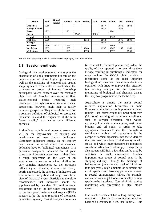| <b>AREA</b>          | cod  | <b>G'land</b><br>halibut | haddock | hake | herring | scad | plaice | saithe | sole | whiting |
|----------------------|------|--------------------------|---------|------|---------|------|--------|--------|------|---------|
| Celtic Sea           | 1988 |                          |         |      |         |      | 1977   |        | 1971 | 1982    |
| <b>E</b> Eng Channel |      |                          |         |      |         |      | 1980   |        | 1982 |         |
| Faroe                | 1961 |                          | 1961    |      |         |      |        | 1961   |      |         |
| <b>Iberia</b>        |      |                          |         | 1982 |         | 1985 |        |        |      |         |
| <b>Iceland</b>       | 1955 |                          |         |      |         |      |        | 1962   |      |         |
| <b>Irish Sea</b>     | 1968 |                          |         |      | 1972    |      | 1964   |        | 1970 | 1980    |
| Kattegat             | 1971 |                          |         |      |         |      | 1987   |        | 1984 |         |
| <b>NE Arctic</b>     | 1946 | 1970                     | 1950    |      |         |      |        | 1960   |      |         |
| <b>North Sea</b>     | 1963 |                          | 1963    |      | 1960    |      | 1957   | 1967   | 1957 | 1960    |
| <b>W</b> Scotland    | 1966 |                          | 1965    |      | 1976    |      |        | 1972   |      | 1965    |

*Table 2. Earliest year for which stock assessment (output) data are available*

#### **2.2 Session synthesis**

Biological data requirements do not stop at the observation of single parameters but rely on the understanding of bio-ecological processes as well as the matching of temporal and spatial sampling scales to the scales of variability in the parameter or process of interest. Workshop participants voiced concern over the relatively high costs of biological monitoring at finer spatio-temporal scales requiring high resolutions. The high economic value of coastal ecosystems, however, might help to justify monitoring expenses. They also felt the need for a common definition of biological or ecological indicators to avoid the vagueness of the term "water quality" that varies with different agencies.

A significant task in environmental assessment will be the improvement of existing and development of new impact indicators. Customary indicators usually do not convey much about the actual effect that chemical pollutants have on biological components in a particular ecosystem. Indicators are of great value to environmental assessment as they allow a rough judgement on the state of an environment by serving as a kind of filter for very complex interactions. As the processes influencing an indicator, however, are mostly poorly understood, the sole use of indicators can lead to an oversimplified and dangerously false view of the actual events. Participants therefore recommended that indicators should be supplemented by raw data. For environmental assessment, one of the difficulties encountered by the European Environmental Agency (EEA) appears to be the poor reporting of biological parameters by many coastal European countries

(in contrast to chemical parameters). Also, the quality of data reported is not even throughout Europe resulting in questionable indicators for many regions. EuroGOOS might be able to incorporate some of the most important biological and chemical coastal variables in cooperation with EEA to improve this situation (an existing example for the operational monitoring of biological and chemical data is the Ferrybox programme in the Baltic Sea).

Aquaculture is among the major coastal resource exploitation businesses in some European countries and its importance is rising rapidly. Fish farms essentially need short-term (24 hours) warning of hazardous conditions, such as oxygen depletion, high waves, extremely low surface temperature, toxic algal blooms, and oil spills, in order to take appropriate measures to save their animals. A well-known problem of aquaculture is the escape of farmed organisms into the wilderness that can result in a loss of biodiversity in wild stocks and which must therefore be monitored somehow. Abundant food supply to cage farms also attracts wild fish, a fact that can be used by scientists in stock assessment. Another important user group of coastal seas is the shipping industry. Through the discharge of ballast water (an estimated total of 12 billion tons per year), huge amounts of sediment and exotic species from far-away places are released to coastal environments, which, for example, can cause toxic algal blooms to develop or new species to be introduced. Control of this requires monitoring and forecasting of algal bloom events.

Fish stock assessment has a long history with operational scientific data collections reaching back half a century in ICES (see Table 2). Due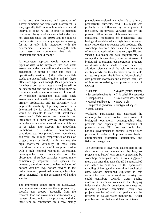to the cost, the frequency and resolution of survey sampling for fish stock assessment is low, typically 6-12 months intervals and a grid interval of about 70 km. In order to maintain continuity, the type of data sampled today has not changed since the 1960s and the models used are still based on single species allowing for no or only little interaction with the environment. It is widely felt among the fish stock assessment community that this is inadequate and should change.

An ecosystem approach would require new types of data to be integrated into fish stock assessment under the conditions that (a) the data acquisition in terms of time and costs is operationally feasible, (b) their effects on fish stocks are scientifically credible, and (c) these effects are significant enough. (Such parameters [whether expressed as states or rates] are still to be determined and the models linking them to fish stock development to be created). It was felt by workshop participants that fish stock assessment could benefit from good estimates of primary productivity and its variability. (As large-scale variability of primary production is determined by its small-scale variability, it would be sensible to start with small-scale assessment.) Fish stocks are generally not influenced in a linear way by environmental variables and are often event-driven, which has to be taken into account for modelling. Predictions of extreme environmental conditions, e.g. low phytoplankton abundance, and very low or high temperatures or lack of oxygen, might be helpful in this context; the high short-term variability of most such conditions require a careful sampling design with a high temporal resolution. Operational oceanography has concentrated on the observation of surface variables whereas many commercially important fish species are demersal, therefore more complete inclusion of bottom variables (e.g. bottom oxygen in the Baltic Sea) into operational oceanography might prove beneficial for the assessment of benthic species.

The impression gained from the EuroGOOS data requirement survey was that at present only specific user groups (especially from the research, food and environment sectors) actually request bio-ecological data products, and that these tend to concentrate on a few, mainly

phytoplankton-related variables (e.g. primary productivity, nutrients, etc.). This result was probably partly influenced by the emphasis of the survey on physical variables and by the present difficulties and high costs involved in operational monitoring of biochemical and biological variables which might have prevented many respondents to request such products. The workshop, however, made clear that a number of important applications have very specific and varying bio-ecological data requirements. A survey that is specifically directed at users of biological operational oceanographic products could assess those needs in more detail. In addition, scientists might be able to help users identify needs that they themselves are not able to see. At present, the following bio-ecological data products (forecasts and analysed data) are of interest to existing and potential users of GOOS:

- 
- Nutrients Oxygen (profile, bottom)
- Suspended sediments Chlorophyll, Phytoplankton
- Eutrophication Toxic substances, oil slick
- 
- 
- Harmful algal blooms Wave height
- Temperature (max/min) Background physics
- Exotic species

Workshop participants also expressed the necessity for better contact with users of biological operational oceanographic data products and especially the education of potential users. EU directives could help national governments to become users of such products in order to improve human health, environmental protection, aquaculture, and fisheries management.

The usefulness of involving stakeholders in the data collection as demonstrated by ferrybox projects (see below) was greatly appreciated by workshop participants and it was suggested more than once that users should be approached and asked to contribute to the operational sampling of biological, chemical and geological data. Sectors mentioned explicitly in this context included the aquaculture industry that could contribute towards water quality assessment in coastal zones and the shipping industry that already contributes to measuring relevant plankton parameters (ferry box projects, see below) and could perhaps also be involved in ballast water monitoring. Other possible sectors that could have an interest in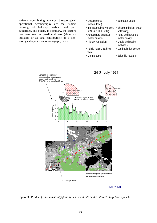actively contributing towards bio-ecological operational oceanography are the fishing industry, oil industry, harbour and port authorities, and others. In summary, the sectors that were seen as possible drivers (either as initiators or as data contributors) of a bioecological operational oceanography were:

- Governments (nation./local)
- (OSPAR, HELCOM)
- Aquaculture business (water quality)
- Fishery regulation Media and public
- Public health, Bathing water
- 
- European Union
- International conventions Shipping (ballast water, antifouling)
	- Ports and harbours (water quality)
	- (websites)
	- Land pollution control
- Marine parks Scientific research



*Figure 3. Product from Finnish Alg@line system, available on the internet: http://meri.fimr.fi*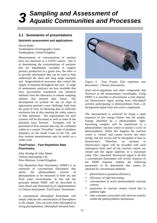## *3 Sampling and Assessment of Aquatic Communities and Processes*

#### **3.1 Summaries of presentations**

#### **Nutrients assessment and applications**

#### David Hydes

Southampton Oceanography Centre Southampton, United Kingdom

Measurements of concentrations of nutrient have two functions in a GOOS context. One is in determining the concentrations of nutrients that are immediately available to support primary production in a given area, the other is to provide information that can be used to help understand the short and long range transport and biogeochemical processes that control the supply of nutrients throughout the year. A range of autonomous analysers are now available that have successfully transferred wet chemical methods from the laboratory to remote sampling stations and moored data buoys. The development of systems for use on ships of opportunity presents a new challenge, both from the point of view of obtaining data of sufficient resolution but of also meeting the safety aspects of their operation. The requirements for such systems will be discussed as well as some of the potential ways forward. Examples will be presented of how nutrient data may be combined within in a current "FerryBox" study of plankton dynamics on the South Coast of the UK, and how nutrient measurements may be useful on a wider scale.

#### **'FastTracka' - Fast Repetition Rate Fluorimetry**

John Attridge & John Atkins Chelsea Instruments Ltd. West Molesey, United Kingdom

Fast Repetition Rate Fluorimetry (FRRF) is an extension of conventional fluorimetry that allows the photosynthetic activity of phytoplankton to be measured in both sea and fresh water environments. In this talk the principle behind FRRF will be described in more detail and illustrated by its implementation in Chelsea Instruments 'FastTracka' fluorimeter.

A conventional chlorophyll fluorimeter will simply indicate the concentration of fluorophore in the sample. This can arise from chlorophyll in living phytoplankton, chlorophyll released from



*Figure 4. Fast Tracka. Fast repetition rate fluorimeter. Chelsea Instruments.*

dead micro-organisms and other compounds that fluoresce at the measurement wavelengths. Using FRRF it is possible to discriminate a time dependent fluorescence signal arising from chlorophyll actively participating in photosynthesis from a dc background signal from non-active compounds.

The measurement is achieved by firing a rapid sequence of low energy flashes into the sample. Energy absorbed by a photosynthetic lightharvesting complex will be transferred to a photosynthetic reaction centre to initiate a cycle of photosynthesis. While this happens the reaction centre is 'closed' and cannot receive any more energy and any excess will be dissipated as heat or fluorescence. Therefore, an increase in fluorescence signal will be recorded with each subsequent flash until all the reaction centres are closed and the signal stabilises to a maximum value. This 'saturated' fluorescent signal is all that a conventional fluorimeter will record. Analysis of the FRRF response enables the following parameters to be determined that cannot be obtained by conventional methods:

- photochemical quantum efficiency;
- efficiency of light harvesting;
- concentration of active photosynthetic reaction centres;
- proportion of reaction centres closed due to ambient light;
- time constants associated with electron transfer within the photosynthesis mechanism.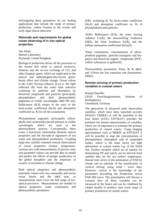Investigating these parameters we are finding applications that include the study of primary production, carbon fixation in the oceans and early algae bloom detection.

#### **Rationale and requirements for global ocean observing of in situ optical properties**

Jim Aiken Marine Laboratory Plymouth, United Kingdom

Biological production drives all the processes in the oceans that relate to natural resources, fisheries and the air-sea exchange of  $CO<sub>2</sub>$  and other biogenic gases, which are implicated in the natural and anthropogenically-forced greenhouse effect and climate change. Ocean colour is the water leaving radiance (Lw) or the light reflected (R) from the water after selective scattering by particles and absorption by dissolved compounds and particles (principally phytoplankton and their photosynthetic pigments) at visible wavelengths (400-700 nm). Reflectance  $(R, \lambda)$  relates to the ratio of the back-scatter coefficient (bb, $\lambda$ ) and absorption coefficient  $(a, \lambda)$  for all the constituents.

Phytoplankton pigments (principally chlorophylls and carotenoids) absorb photons at visible wavelengths which are used in the photosynthetic process. Conceptually, there exists a functional relationship between optical properties and the bio-optical signatures of sea water and phytoplankton production. Coupling large-area satellite remotely sensed observations of ocean properties (colour, temperature, currents etc) with measurements of process rates and parameter values can provide data to model and predict the effects of pelagic production on the global biosphere and the responses of oceanic ecosystems to climate change.

Both optical properties and photosynthetic parameter values will vary seasonally and across ocean basins and the shelf seas, so measurements must cover the full range of biooptical provinces. Measurements are needed of optical properties, water constituents and photosynthetic parameters.

IOPs: scattering (b, λ), back-scatter coefficient (bb, $\lambda$ ) and absorption coefficient (a,  $\lambda$ ) of phytoplankton and particles.

AOPs: Reflectance  $(R, \lambda)$ , the water leaving radiance  $Lw(\lambda)$ , the downwelling irradiance Ed( $\lambda$ ), the Solar Irradiance Es( $\lambda$ ), and the diffuse attenuation coefficients Kd,u(λ).

Water constituents: concentrations of phytoplankton pigments, particles (inorganic and biogenic) and dissolved organic compounds (DOC, yellow substances or gelbstoff).

Photosynthetic parameters: Pmax, Ik, α,  $σps2$ , and  $\tau$  (from the fast repetition rate fluorometer, FRRF).

#### **Remote sensing of primary production variables in coastal waters**

#### Roland Doerffer

GKSS Forschungszentrum, Institute of Hydrophysics Geesthacht, Germany

The generation of advanced earth observation satellites, which have been launched recently (NASA's TERRA) or will be launched in the near future (ESA's ENVISAT) provides the potential for remote measurements of variables, which are of importance to estimate the primary production of coastal waters. Using imaging spectrometers such as MERIS on ENVISAT it will be possible to map the concentrations of phytoplankton chlorophyll and of suspended matter, which is the main factor for light attenuation in coastal waters e.g. of the North Sea. Further variables which are of interest for determining PP and which can be derived from satellite data are the sea surface temperature, diurnal time series of the attenuation of PAR by clouds and an estimate of the stratification or vertical mixing using wind / wave data. However, critical is the knowledge of the parameters describing the Production versus PAR (PI) curve. The presentation will discuss a scenario how all these variables can be measured in the future and can be combined by simple models to produce time series maps of primary production of coastal waters.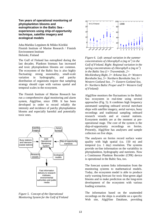#### **Ten years of operational monitoring of phytoplankton blooms and eutrophication in the Baltic Sea experiences using ship-of-opportunity technique, satellite imagery and ecological models**

Juha-Markku Leppänen & Mikko Kiirikki Finnish Institute of Marine Research / Finnish Environment Institute Helsinki, Finland

The Gulf of Finland has eutrophied during the last decades. Plankton biomass has increased and toxic phytoplankton blooms are common. The ecosystem of the Baltic Sea is also highly fluctuating: strong seasonality, small-scale variation in hydrography, and patchy distribution of organisms require that sampling strategy should cope with various spatial and temporal scales in the ecosystem.

The Finnish Institute of Marine Research has run a comprehensive algal monitoring and alarm system, Alg@line, since 1990. It has been developed in order to record reliably the intensity and incidence of patchy phytoplankton blooms and especially harmful and potentially toxic ones.



*Figure 5. Concept of the Operational Monitoring System for the Gulf of Finland*



*Figure 6. Left: annual variation in the summer concentrations of chlorophyll a (mg m-3) in the Gulf of Finland. Right: Regional variation in the spring concentrations of chlorophyll a (mg m-3) in the Baltic Sea (1= Travemünde, 2= Mecklenburg Bight, 3= Arkona Sea, 4= Western Bornholm Sea, 5= Northern Bornholm Sea, 6= Western Gotland Sea , 7= Eastern Gotland Sea, 8= Northern Baltic Proper and 9= Western Gulf of Finland)*

Alg@line monitors the fluctuations in the Baltic Sea ecosystem in real-time using several approaches (Fig. 5). It combines high frequency automated sampling onboard several merchant ships with satellite imagery, aerial surveys, buoy recordings and traditional sampling onboard research vessels and at coastal stations. Ecosystem models are at the moment at preoperational stage. The core of the system is the ship-of-opportunity recordings on ferries. Presently, Alg@line has analysers and sample collectors on five ships.

The analysers on ferries record surface water quality with high spatial (ca. 150 m) and temporal (ca. 1 day) resolution. The systems provide on-line information on the variability in phytoplankton, hydrography and nutrients. Now a Continuous Plankton Recorder (CPR) device is operational in the Baltic Sea, too.

The forecast system links information from the monitoring systems to mathematical models. Today, the ecosystem model is able to produce early warning forecast for toxic blue-green algal blooms and to make prediction on the long-term development of the ecosystem with various loading scenarios.

The information based on the unattended recordings on the ships is available on a specific Web site, Alg@line Database, providing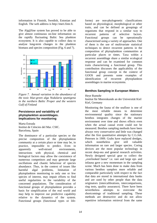information in Finnish, Swedish, Estonian and English. The web address is http://meri.fimr.fi.

The Alg@line system has proved to be able to give almost continuous on-line information on the rapidly fluctuating Baltic Sea plankton ecosystem. It is also capable to collect data to analyse long-term changes in the plankton biomass and species composition (Fig. 6 and 7).



*Figure 7. Annual variation in the abundance of the toxic blue-green alga Nodularia spumigena in the northern Baltic Proper and the western Gulf of Finland*

#### **Persistence and variability of phytoplankton assemblages. Implications for monitoring**

Marta Estrada Institut de Ciències del Mar. CSIC. Barcelona, Spain

The dominance of a particular species or the precise composition of the phytoplankton community at a certain place or time may be, in practice, impossible to predict. Even in apparently well-mixed environments, interactions with physical, chemical and biological factors may allow the coexistence of numerous competitors and may generate large oscillations and chaotic behaviour of species abundance. Thus, in the context of issues like harmful algal problems, limitation of phytoplankton monitoring to only one or few species of interest, may impair efforts to find useful regularities in the variability of the concerned populations. The consideration of functional groups of phytoplankton provides a basis for simplification of the real world and may help to improve our predictive capability relative to the dynamics of the system. Functional groups (functional types or life-

forms) are non-phylogenetic classifications based on physiological, morphological or other traits, and can be defined as groupings of organisms that respond in a similar way to recurrent patterns of selective factors. Functional groups can be operationally characterised using a variety of approaches. One of them is the use of multivariate statistical techniques to detect recurrent patterns in the composition of phytoplankton communities at particular places or times. Taxa within a recurrent assemblage share a similar ecological response and can be examined for common traits characterising a functional group. This contribution discusses the applicability of the functional group concept in the context of GOOS and presents some examples of identification of recurrent phytoplankton assemblages in marine ecosystems.

#### **Benthos Sampling in European Waters**

#### Heye Rumohr

Institut für Meereskunde an der Universität Kiel Kiel, Germany

Monitoring the fauna of the seafloor is one of the most reliable means to determine environmental quality since the stationary benthos integrates changes of the marine environment over time and shows effects even when the actual causal event could not be measured. Benthos sampling methods have been always very conservative and little was changed after the first quantitative attempts by C.G.Joh. Petersen in 1909. Grabs have replaced dredges, which nonetheless give still valuable information on rare and larger species. Coring devices are the most popular technology in recent deep-sea and general research activities. Newly designed special gear to collect the "overlooked fauna" i.e. rare and large epi- and infauna gave a new momentum in the sampling scene. Much has been done to make data from various benthos samplers more reliable and comparable particularly with respect to the fact that data are stored in international data banks and are used by other people than the data originators (intercalibrations, intercomparisons, ring tests, quality assurance). There have been nevertheless attempts to overcome the shortcomings of traditional sampling. These methods are destructive and do not allow repetitive information retrieval from the same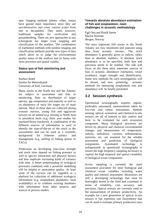spot. Imaging methods (photo, video, sonar) have gained more importance since they are non-destructive and cover various scales from mm to decametres. They need, however, traditional samples for verification and groundtruthing. There are new approaches to use echosignals for larger scale mapping and classification of the seafloor. The combination of traditional methods with modern imaging and classification methods provide new types of data which allow us to judge the environmental quality status of the seafloor and its fauna with more precision and spatial validity.

#### **Status quo of fish monitoring and assessment**

Norbert Rohlf Institut für Meereskunde University of Kiel, Germany

Many stocks in the North Sea and the Atlantic are subject to assessment and thus to monitoring. Data on distribution of target species, age composition and maturity as well as on abundance of early life stages are of main interest. Most of these data are collected during acoustic surveys, young fish and egg/larvae surveys on an annual (e.g. herring in North Sea) or periodical basis (e.g. three year modus for mackerel/horse mackerel). A combination of the different sources of information is used to identify the state-of-the-art of the stock in the assessments and can be used as a scientific background for fisheries politics and management (e.g. settling of fishing quotas or TACs).

Predictions on developing year-class strength and stock sizes depend on fishing pressure as well as species interaction and physical factors and thus implicate increasing kinds of variance with time. A better understanding of ecological processes combined with a powerful modelling will be helpful in assessment quality. At least some of the surveys can be regarded as a platform for collection of additional ecological information (e.g. zooplankton abundance, food availability) or to combine existing databases with information from other projects and sources in process studies.

#### **Towards absolute abundance estimation of fish and zooplankton; main challenges in acoustic methodology**

Egil Ona and Roald Saetre Marine Institute Bergen, Norway

The most important fish stocks in the North Atlantic are now monitored and assessed using data from acoustic surveys. The stock abundance is generally given as indices, rather than in absolute numbers. If absolute stock abundance is to be specified, both bias and precision needs to be studied. The talk will focus on the three most important sources of bias in acoustic abundance estimation, vessel avoidance, target strength and identification. Some new methods for such investigations will be shown, and new, promising acoustic methods for measuring zooplankton size and abundance will be briefly presented.

#### **3.2 Session synthesis**

Operational oceanography requires regular, preferably automated, measurements taken by low-cost and robust instruments. Remote sensing, optical, acoustical, and chemical in-situ sensors are all of interest in this context and have to be evaluated for each ecosystem component. Many biological processes are driven by physical and chemical environmental changes and measurement of temperature, salinity, turbulence, currents, sedimentation, nutrients, etc. are essential for the reliable assessment and prediction of biological components. Automated technology is indispensable in operational oceanography to ensure the high frequency sampling necessary to capture the high temporal and spatial variability of biological ocean components.

In-situ sampling is currently the main assessment procedure for most biological and chemical ocean variables including water quality and nutrient assessment. Biosensors are still a developing technology that must be thoroughly tested in the field and examined in terms of reliability, cost, accuracy, and precision. Optical sensors are currently used in the measurement of primary productivity. An example for a new generation of optical in-situ sensors is fast repetition rate fluorometry that can be used to estimate primary production rates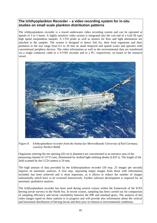#### **The Ichthyoplankton Recorder – a video recording system for in-situ studies on small scale plankton distribution patterns**

The ichthyoplankton recorder is a towed underwater video recording system and can be operated at speeds of 3 to 5 knots. A highly sensitive video system is integrated into the cod end of a Gulf III type high speed zooplankton sampler. A CTD probe as well as sensors for flow and light attenuation are attached to the sampler. The system is designed to detect fish fry, their food organisms and their predators in the size range from 0.5 to 20 mm on small temporal and spatial scales and operates with conventional periphery devices. The video information as well as the environmental data are transferred via a single conductor cable to a S-VHS recorder and to a PC, respectively, on board of the research vessel.



*Figure 8. Ichthyoplankton recorder from the Institut fur Meereskkunde University of Kiel Germany, courtesy Norbert Rohlf.*

Organisms entering the net opening (20 cm in diameter) are concentrated to an entrance area of the measuring channel of 15\*15 mm, illuminated by strobed light emitting diodes (LED's). The length of the field scanned by the CCD-camera is 20 mm.

The high amount of data provided by the Ichthyoplankton recorder (50 resp. 25 images per second) requires an automatic analysis. A first step, separating empty images from those with information included, has been achieved and is most important, as it allows to reduce the number of images substantially which have to be screened interactively. Further software development is required for an automatic qualitative analysis.

The Ichthyoplankton recorder has been used during several cruises within the framework of the ICES herring larvae surveys in the North Sea. In recent cruises, sampling has been carried out for comparison of sampling efficiency and larvae catchability between the IPR and standard gears. The analysis of the video images taped on these stations is in progress and will provide also information about the vertical and horizontal distribution of herring larvae and their prey in relation to environmental conditions.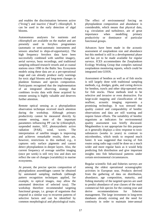and enables the discrimination between active ("living") and inactive ("dead") chlorophyll. It can be used in the early detection of algal blooms.

Autonomous analysers for nutrients and chlorophyll are available on the market and are presently used in ferrybox programmes (automatic or semi-automatic instruments and sensors attached to ships-of-opportunity). The high frequency ferrybox data have been successfully combined with satellite imagery, aerial surveys, buoy recordings, and traditional sampling onboard research vessels and at coastal stations since 1990 in the Baltic Sea. Ecosystem models using these data are at a pre-operational stage and can already produce early warnings for toxic algal blooms and long-term changes in plankton biomass and species composition. Participants recognised that the implementation of an integrated observing strategy that combines in-situ data with those acquired by remote sensing is highly valuable and deserves further attention.

Remote optical sensing as a phytoplankton observation technique received much attention during the workshop. Although primary productivity cannot be measured directly by remote sensing, most of the important parameters influencing PP can be (chlorophyll, suspended matter, SST, photosynthetic active radiation [PAR], wind, waves. The interpretation of satellite images is improving and achieves remarkable results, there are, however, restrictions to this method; e.g., it captures only surface pigments and cannot detect phytoplankton in deeper layers. Also, the current frequency of average satellite imaging (once per week) is still very low and does not reflect the rate of changes (variability) in marine ecosystems.

At present, the precise species composition of phytoplankton assemblages cannot be obtained by automated sampling methods (although pattern recognition techniques applied, for example, to optical images, may allow the automated detection of selected taxa). The workshop therefore recommended targeting functional groups, i.e. groups of organisms that respond in a similar way to recurrent patterns of selective factors and can be identified by common morphological and physiological traits.

The effect of environmental forcing on phytoplankton composition and abundance is considerable, which means that physical data, e.g. circulation and turbulence, are of great importance when modelling primary productivity or dominance of particular functional groups.

Advances have been made in the acoustic assessment of zooplankton size and abundance but this method is still in a developmental phase and has yet to be made available for regular surveys. ICES accommodates the Zooplankton Ecology Working Group that compiles national zooplankton monitoring reports, which could be integrated into GOOS.

Assessment of benthos as well as of fish stocks is still largely done with traditional sampling methods, e.g. dredges, grabs, and coring devices for benthos, trawls and other ship-operated nets for fish stocks. These methods tend to be selective and invasive or even destructive. For large-scale mapping and classification of the seafloor, acoustic imaging represents a promising technology. It was stressed that quality control and comparability of benthic observations and data are still wanting and require future efforts. The suitability of benthic organisms as indicators for environmental quality assessment was briefly discussed. Megabenthos is not appropriate for this purpose as it generally displays a slow response to toxic substances (weeks to years) in contrast to microbenthos, which tends to respond much faster. It was suggested that tracing of fish routes using radio tags could be done on a much wider and more regular basis as it would help predicting fish distribution and give important insights into fish behavioural patterns under certain environmental circumstances.

Regular scientific fish and fisheries surveys are among the oldest operational oceanographic activities in European seas. Products derived from the gathering of data on distribution, abundance, age composition, maturity, and fishing mortality of the targeted species are used to predict abundance of year classes of the main commercial fish species for the coming year and derive recommendations for fisheries management. The large investment in long-term databases already existing and the need for continuity in order to maintain inter-annual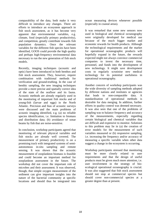comparability of the data, both make it very difficult to introduce any changes. There are efforts to introduce an ecosystem approach in fish stock assessment, as it has become very apparent that environmental variables, e.g. climate, food (especially primary productivity), and competition, greatly contribute towards fish population dynamics. Once the relevant variables for the different fish species have been identified, GOOS could provide the high quality and perhaps high-frequency environmental data necessary to run the new generation of fish stock models.

Recently, imaging techniques (acoustic and optic) have been introduced in both benthos and fish stock assessment. They, however, require combination with traditional methods for verification and ground-truthing. In the case of benthic sampling, the new imaging techniques provide a more precise and spatially correct idea of the state of the seafloor and its fauna. Acoustic methods are already regularly used in the monitoring of important fish stocks and of young-fish (larvae and eggs) in the North Atlantic. Precision and bias of acoustic surveys were discussed and the main problems of acoustic imaging identified, e.g. (a) no reliable species identification, i.e. limitation to biomass and distribution data; (b) avoidance of sonar beams by fish that are noise-sensitive.

In conclusion, workshop participants agreed that monitoring of relevant physical variables and fish stocks are already well covered. The measurement of primary productivity is on a promising track with integrated systems of semiautonomous in-situ sampling and remote sensing. It was shown that the acoustic measurement of zooplankton biomass is feasible and could become an important method for zooplankton assessment in the future. The workshop did not cover the important role of microbes and their assessment. It was observed, though, that simple oxygen measurement of the sediment can give important insights into the nature of the bacterial community at specific locations and should thus be integrated into ocean measuring devices whenever possible (especially in coastal areas).

It was remarked that some new sensors now used in biological and chemical oceanography were originally developed for medical use because of the much bigger market and economic rewards for health products. Although the technological requirements and the market for operational oceanographic products will hopefully expand in the future, the rewards expected might not always convince commercial companies to invest the necessary time, personnel, and funds into the development of new technology. It might save development costs to regularly scrutinise new medical technology for its potential usefulness in operational oceanography.

Another concern of workshop participants was the wide diversity of sampling methods adopted by different nations and institutes or agencies that leads to non-comparable data. A standardisation of operational methods is desirable for data merging. In addition, further efforts in quality control was deemed necessary. It was also seen that one of the problems of sampling was to balance frequency and accuracy of the measurements, especially regarding certain biological and chemical variables that are difficult and expensive to monitor. Solutions to this problem may lie in (a) the creation of error models for the measurement of such variables measured or (b) responsive sampling, i.e. increasing the frequency and/or accuracy of measuring a specific variable when other data suggest a change in the ecosystem is occurring.

Workshop participants stressed that monitoring must be more closely related to user requirements and that the design of useful products must be given much more attention, i.e. user involvement in the strategy of bioecological operational oceanography is crucial. It was also suggested that fish stock assessment should not stop at commercial species but should cover non-commercial species at a greater degree than at present.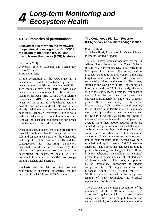# *4 Long-term Monitoring and Ecosystem Health*

#### **4.1 Summaries of presentations**

**Ecosystem health within the framework of operational oceanography, Or: GOOS, the Health of the Ocean (HOTO) and Living Marine Resources (LMR) Modules**

Franciscus Colijn University of Kiel, Research and Technology Centre Westcoast Büsum, Germany

In the description of the GOOS Design a discussion is held between balancing the user needs and the scientific and technical feasibility. Two modules have been defined with clear needs , which are relevant for this workshop: Health of the Ocean (HOTO) and Living Marine Resources (LMR). In this contribution the needs will be compared with what is actually possible and which kinds of information are already available or will become available in the near future. Because Ecosystem Health is not a well defined concept current literature on this item will be discussed and related to the needs compiled under both HOTO and LMR.

Discussions about ecosystem health are strongly linked to the human health concept on the one side and on reference norms on the other side. Both aspects will be reviewed briefly and the consequences for measuring parameters evaluated. Based on current knowledge the criteria and parameters so far used in descriptions of ecosystem health will be presented: forerunners in this field are groups around Costanza and Sherman.

Emphasis will be laid on the practical application of measured parameters for the purpose of the HOTO and LMR Modules.

#### **The Continuous Plankton Recorder (CPR) survey and climate change issues**

Philip C. Reid

Sir Alister Hardy Foundation for Ocean Science Plymouth, United Kingdom

The CPR survey which is operated by the Sir Alister Hardy Foundation for Ocean Science (SAHFOS), in Plymouth, UK, is currently in its 68th year of existence. The survey and its products are unique as they comprise the only long-term and ocean basin wide operational survey of plankton in the world. The survey started in the North Sea in 1931 extending out into the Atlantic in 1939. Currently, the core area of the survey reaches from the east coast of the USA to the north west European shelf between approximately 37º and 64ºN. In recent years CPRs were also deployed in the Baltic, Mediterranean, Gulf of Guinea and monthly tows will start in the Pacific in 2000. Voluntary merchant ships on their normal passage are used to tow CPRs; typically 22 routes are towed in the core region each month of the year. On average more than 80000 nautical miles are sampled each year and more than 4000 samples analysed when the phyto- and zooplankton are counted and identified into ~400 taxonomic categories. Since the survey started close to 4 million nautical miles of the oceans have been sampled and approximately 200,000 samples analysed. The survey has achieved its unique position by making few changes to the CPR and by strict adherence to sampling and analytical protocols with the maintenance of a skilled team of plankton analysts. The survey is supported by an international consortium of funders comprising in 1999 eight countries, the European Union, UNIDO and the IOC. SAHFOS is also involved in the design and testing of new technology as eventual replacements for the CPR.

There has been an increasing recognition of the uniqueness of the CPR time series as a 'barometer' against which to assess climate change and the effects of pollution on the natural variability of marine populations and as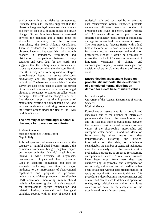environmental input to fisheries assessments. Evidence from CPR records suggests that the plankton integrates hydrometeorological signals and may be used as a possible index of climate change. Strong links have been demonstrated between the plankton and a major mode of atmospheric variability in the northern hemisphere, the North Atlantic Oscillation. There is evidence that some of the changes observed have also impacted fish stocks through changes in abundance, recruitment and distribution. Comparison between fishery statistics and CPR data for the North Sea suggests that the fishery may at times cause strong top down control on the plankton. Results from the survey are also being used to interpret eutrophication issues and assess planktonic biodiversity and it's spatial and temporal variability. The baseline data available from the survey are also being used to assess the spread of introduced species and occurrence of algal blooms, of relevance to studies on ballast water exchange. The scale of the changes seen over five decades emphasises the importance of maintaining existing and establishing new, long term and wide scale monitoring programmes of the world's oceans under the flag of the LMR module of GOOS.

#### **The diversity of harmful algal blooms: a challenge for operational monitoring**

Adriana Zingone Stazione Zoologica 'Anton Dohrn' Napoli, Italy

A broad spectrum of events comes under the category of harmful algal blooms (HABs), the common denominator being a negative impact on human activities. Harmful algal blooms involve a wide diversity of organisms, mechanisms of impact and bloom dynamics. Gaps in scientific knowledge and lack of adequate technology constitute a major hindrance to the improvement of observational capabilities and progress in predictive understanding of these phenomena. An effective HAB operational monitoring system should include a long-term, global, observing network for phytoplankton species composition and related physical, chemical and biological variables, coupled with an array of models and

statistical tools and sustained by an effective data management system. Expected products encompass different temporal scales of prediction and levels of benefit. Early warning of HAB events allows us to put in action specific contingency plans aimed at minimising damage to human health and economic losses. The next step is to forecast HABs with a lead time in the order of 1-7 days, which would allow for more effective management and mitigation procedures. Finally, it would be necessary to assess the risk for HAB events in the context of long-term variations of climate and anthropogenic impact, to assist managers and decision-makers in planning the use of coastal areas.

#### **Eutrophication assessment based on probabilistic methods; the development of a simulated normal distribution derived for a data base of nitrate values**

Michael Karydis

University of the Aegean, Department of Marine Sciences Mytilini, Greece

Eutrophication assessment is a complicated endeavour due to the number of interrelated parameters that have to be taken into account and the fact that there is overlapping between the frequency distributions of the concentrations values of the oligotrophic, mesotrophic and eutrophic water bodies. In addition, deviation from normality either results into data transformation, distorting the original information of the data, or eliminates considerably the number of statistical techniques used for data analysis. In the present work a probabilistic procedure is proposed for assessing eutrophication levels. Nitrate concentrations have been used from two data sets characterising oligotrophy and eutrophication respectively; a simulated normal distribution has been developed without data transformation or applying any drastic data manipulations. This procedure is described in a stepwise manner and as a method can be used to define eutrophication scales, assign critical values and test any nitrate concentration data for the evaluation of the trophic conditions of coastal areas.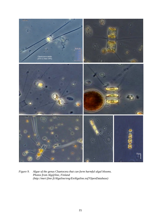

*Figure 9. Algae of the genus* Chaetocera *that can form harmful algal blooms. Photos from Alg@line, Finland (http://meri.fimr.fi/Algaline/eng/EnAlgaline.nsf?OpenDatabase)*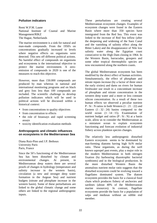#### **Pollution indicators**

Remi W.P.M. Laane National Institute of Coastal and Marine Management/RIKZ The Hague, Netherlands

The marine environment is a sink for natural and man-made compounds. From the 1950's on concentrations gradually increased to levels where negative effects on organisms were detected. This sets off different political actions. No harmful effect of compounds on organisms and ecosystems is the international objective to protect the marine environment. A zeroemission of compounds in 2020 is one of the measures to reach this objective.

However, more than 150.000 compounds are produced by man whereas in national and international monitoring programs and on black and grey lists less than 100 compounds are included. The scientific challenge to develop pollution indicators which will be used in political actions will be discussed within a historical context:

- from concentrations to quality objectives
- from concentration to effects
- the role of bioassays and rapid screening assays
- toxicity identification evaluation methods

#### **Anthropogenic and climatic influences on ecosystems in the Mediterranean Sea**

Diana Ruiz-Pino and J.P. Bethoux University Paris Paris, France

Since the 50's functioning of the Mediterranean Sea has been disturbed by climate and environmental changes. At present, in Mediterranean deep waters there are several proofs of changes in hydrology (temperature and salinity increase in the western basin), circulation (a new and stronger deep water formation in the Aegean Sea) and nutrient budgets (nitrate and phosphate increase in the western basin). Some of these perturbations are linked to the global climatic change and some others are linked to the regional anthropogenic inputs.

These perturbations are creating several Mediterranean ecosystem changes. Examples of ecosystem changes were found in the Eastern Basin where more than 350 species have immigrated from the Red Sea. This event was linked to the increase of Red Sea inflow (after the deepening and widening of the Suez Canal and the vanishing of salinity effect along the Bitter Lakes) and the disappearance of Nile low salinity water along the Egyptian coast consecutive to the High Dam closing in 1964. In the Western Basin, barracudas, groupers and some other tropical thermophilic species are now encountered along the northern coasts.

The global Mediterranean ecosystem has been modified by the direct effect of human activities. Simultaneously, the effect of phosphate and nitrate inputs increase (by a factor of three since the early sixties) and dams on rivers for human freshwater use result in a concomitant increase of phosphate and nitrate concentration in the western deep water and a more or less constant silicon concentration. As a result of these two human effects we observed a peculiar nutrient P : Si : N ratios in both Western (1 : 21 : 22) and Eastern  $(1:32:24)$  basins compared to the world ocean  $(1: 14: 15)$ . Examination of nutrient budget and ratios  $(P : Si : N)$  at a basin scale, allow us to consider the Mediterranean as a miniature ocean to explain ecosystem functioning and forecast evolution of industrial fishery across plankton species changes.

The relatively less anthropogenic disturbed Eastern ecosystem seems to be dominated by mat-forming diatoms having high Si/N molar ratio. These organisms, as during the well known sapropel past events, play a major role in the modern Mediterranean in both nitrogen fixation (by harbouring diazotrophic bacterial symbionts) and in the biological production. In the more disturbed Western Basin the anomalous nutrient molar ratio suggests that the disturbed ecosystem could be evolving toward a flagellates dominated system. The diatom ecosystem provides the basis for a classical food chain which produces fishery of anchovies and sardines (about 40% of the Mediterranean marine resources). In contrast, flagellate ecosystems provide the basis for a population of salps and medusas without an edible end member.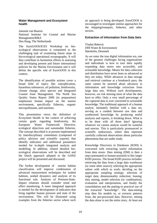#### **Water Management and Ecosystem health**

Jannette van Buuren National Institute for Coastal and Marine Management/RIKZ Den Haag, The Netherlands

The EuroGOOS/ICES Workshop on bioecological observations is committed to the challenging task of examining future steps in bio-ecological operational oceanography. It will thus contribute to harmonise efforts in assessing and developing present and future international policies for the Marine Environment and it will define the specific role of EuroGOOS in this context.

The identification of possible actions cover a broad field of topics like eutrophication, hazardous substances, oil pollution, biodiversity, climate change, alien species and Integrated Coastal Zone Management. The North Sea Quality Status Report 2000 (in preparation) emphasises human impact on the marine environment, specifically fisheries, organic micropollutants, and nutrients.

This presentation views the definition of Ecosystem Health in the context of achieving certain goals regarding biodiversity, the European Water Framework Directive, ecological objectives and sustainable fisheries. The concept described is at present implemented by interdisciplinary committees (composed of policy advisors and scientific experts) that identify indicators and additional parameters needed for in-depth integrated analysis and modelling. In addition, related detailed bioecological observations will be described and the Dutch approach adopted in the GONZ project will be presented and discussed.

The further development of marine habitat classification will improve combination of advanced measurement techniques for seabed habitats, seabed dynamics and analysis of its functional role. Analysis of Pressure-State-Impact relations should consider trend and effect monitoring. A more integrated approach is needed for the development of indicators that bring together human pressure and state of the environment. This will be illustrated using examples from the fisheries sector where such

an approach is being developed. EuroGOOS is encouraged to investigate similar approaches for the shipping/transport, fisheries, and other sectors.

#### **Extraction of Information from Data Sets**

Vladan Babovic DHI Water & Environment Hørsholm, Denmark

As we enter the true digital information era, one of the greatest challenges facing organisations and individuals is how to turn their rapidly expanding data stores into accessible, and actionable knowledge. Means for data collection and distribution have never been so advanced as they are today. While advances in data storage and retrieval continue at a breakneck pace, the same cannot be asserted about advances in information and knowledge extraction from large data sets. Without such developments, however, we risk missing most of what the data have to offer. Only a very small percentage of the captured data is ever converted to actionable knowledge. The traditional approach of a human analyst, intimately familiar with a data set, serving as a conduit between raw data and synthesised knowledge by producing useful analyses and reports, is breaking down. What is to be done with all these data? Ignoring whatever we cannot analyse would be wasteful and unwise. This is particularly pronounced in scientific endeavours, where data represent carefully collected observations about particular phenomena that are under study.

Knowledge Discovery in Databases (KDD) is concerned with extracting useful information from data stores. Data mining (DM) is then a step (automated or human-assisted) in this larger KDD process. The broad KDD process includes: retrieving the data from a large data warehouse (or some other source); selecting the appropriate subset with which to work; deciding on the appropriate sampling strategy; selection of target data; dimensionality reduction; leaning; data mining, model selection (or combination), evaluation and interpretation, and finally the consolidation and the putting to practical use of the extracted "knowledge". The data-mining step then fits models to, or extracts patterns from, the pre-processed data. However, mining the data alone is not the entire story. At least not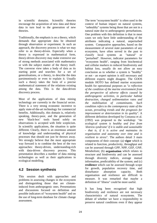in scientific domains. Scientific theories encourage the acquisition of new data and these data in turn lead to the generation of new theories.

Traditionally, the emphasis is on a theory, which demands that appropriate data be obtained through observation or experiment. In such an approach, the discovery process is what we may refer to as theory-driven. Especially when a theory is expressed in mathematical form, theory-driven discovery may make extensive use of strong methods associated with mathematics or with the subject matter of the theory itself. The converse view takes a body of data as its starting point and searches for a set of generalisations, or a theory, to describe the data parsimoniously or even to explain it. Usually such a theory takes the form of a precise mathematical statement of the relations existing among the data. This is the data-driven discovery process.

Most of the applications of data mining technology are currently in the financial sector. There is a very strong economic incentive to apply state-of-the-art technology for commercial benefits. Additionally, this domain is, relatively speaking, theory-poor, and the generation of new 'black-box' tools based solely on observations is accepted with little scepticism. In scientific applications, the situation is quite different. Clearly, there is an enormous amount of knowledge and understanding of physical processes that should not just be thrown away. We strongly believe that the most appropriate way forward is to combine the best of the two approaches: theory-driven, understanding-rich with data-driven discovery process. This presentation describes a number of data mining technologies as well as their applications in ecological modelling.

#### **4.2 Session synthesis**

This session dealt with approaches and problems in assessing changes in the ecosystem and distinguishing those that are climateinduced from anthropogenic ones. Presentations and discussions focused on definition and possible indicators of "ecosystem health" and on the use of long-term database for climate change assessment.

The term "ecosystem health" is often used in the context of human impact on natural systems, "unhealthy" systems being those that are not in a natural state due to anthropogenic perturbations. One problem with this definition is that in most cases we only have little understanding of the attributes indicating a natural, unperturbed system. Comparative approaches, based on the measurement of several state parameters of any ecosystem, have often served in the past to classify local systems as "natural" or "perturbed". However, indicator parameters for "ecosystem health", ranging from biochemical and cellular markers to reduced biodiversity and habitat loss, usually do not allow an easy conclusion as to whether a system is "healthy" or not - an expert opinion is still necessary and different experts might disagree. The GOOS module HOTO has defined marine ecosystem health for operational purposes as "*a reflection of the condition of the marine environment from the perspective of adverse effects caused by anthropogenic activities, in particular habitat destruction, changed sedimentation rates and the mobilisation of contaminants. Such condition refers to the contemporary state of the ocean, prevailing trends and the prognosis for improvement or deterioration in its qualit*y". A different definition developed by Costanza et al. (1992) was proposed to the workshop: "*An ecological system is healthy and free from 'distress syndrome' if it is stable and sustainable - that is, if it is active and maintains its organisation and autonomy over time and is resilient to stress*". The authors detail 3 main components of their concept: (a) **vigor** which is related to function, productivity, throughput and can be assessed through GPP, NPP, GEP, GNP, Metabolism; (b) **organisation** which relates to structure and biodiversity and can be assessed through diversity indices, average mutual information, predictability of the system; and (c) **resilience** which can be assessed through scope for growth, population recovery time, and disturbance absorption capacity. Both organisation and resilience are difficult to measure. It was remarked that maybe a definition of "illness" could be more useful.

It has long been recognised that high biodiversity and resilience are not necessary characteristics of natural ecosystems. The debate of whether we have a responsibility to preserve natural conditions even if they appear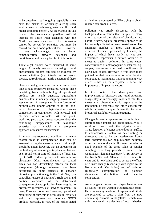to be unstable is still ongoing, especially if we have the means of artificially altering such environments to achieve greater stability (and higher economic benefit). As an example in this context the technically possible artificial increase of Baltic water exchange with the North Sea was mentioned. This discussion cannot be solved by scientists but must be carried out on a socio-political level. However, it was acknowledged that a better communication between scientists and politicians would be very helpful in this context.

Toxic algal blooms were discussed at some length. A mostly naturally occurring coastal phenomenon, blooms can also be triggered by human activities (e.g. introduction of exotic species, eutrophication). Early detection of these

blooms could give coastal resource users more time to take protective measures. Among those benefiting from such a biological operational product are health agencies, aquaculture business, tourist industry, shipping, environment agencies etc. A prerequisite for the forecast of harmful algal blooms appears to be the longterm observation of phytoplankton species composition in conjunction with physical and chemical ocean variables. At this point, workshop participants voiced concern about the continuing disappearance of taxonomic expertise that is crucial in an ecosystem approach of resource management.

A major anthropogenic condition in many coastal areas is eutrophication that can be assessed by regular measurements of nitrate (it should be noted, however, that an agreement on the best way of assessing eutrophication has not been found yet in spite of intensive efforts, e.g. by OSPAR, to develop criteria to assess eutrophication). Often, eutrophication of coastal areas has had devastating effects on local ecosystems (although schemes have been developed by some scientists to enhance biological production, e.g. in the North Sea, by a controlled release of nutrients). High social and political awareness of the detrimental consequence of eutrophication have long led to preventive measures, e.g. sewage treatment, in many European countries. However, operational monitoring of nutrients is necessary in estuaries and could represent an important GOOS product, especially in view of the earlier stated

difficulties encountered by EEA trying to obtain reliable data from all areas.

Pollution was briefly discussed, with the background information that, in spite of many efforts to control the release of chemicals into natural waters, aquatic organisms appear to be increasingly affected in many coastal areas. The enormous number of more than 150,000 different chemicals produced by humans, the impact of which have mostly not yet been determined, represents a serious obstacle to measures against pollution. In some cases, concentrations of anthropogenic substances, e.g. copper, have recently declined in sediments off North Sea coasts. However, it was once more pointed out that the concentration of a chemical compound is meaningless without knowing what effect is has on the ecosystem - hence the importance of impact indicators.

In this context, the development and improvement of bioassays and rapid screening assays play an increasingly important role: they measure an observable toxic response to the interaction of toxicants and other constituents within a water sample, inherently including biological availability and interactions.

Changes in natural systems are not only due to anthropogenic impact but occur naturally as a result of climatic and other physical events. Thus, detection of change alone does not suffice to characterise a system as deteriorating or threatened due to human interference. Longterm observations can help establish naturally occurring temporal variability over decades. A good example of the great value of regular sampling over long periods of time is the Continuous Plankton Recorder (CPR) survey of the North Sea and Atlantic. It exists since 68 years and is now being used to assess the effects of climate change (especially with regard to the North Atlantic Oscillation) and of pollution (especially eutrophication) on plankton abundance, distribution and species composition.

Anthropogenic impact on phytoplankton was discussed for the western Mediterranean basin. Here, increasing levels of phosphate and nitrate are predicted to cause a shift from the now dominating diatoms to flagellates, which may ultimately result in a decline of local fisheries: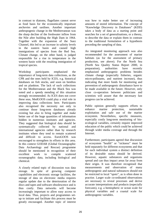in contrast to diatoms, flagellates cannot serve as food basis for the economically important anchovies and sardines. Another important anthropogenic change in the Mediterranean was the sharp decline of the freshwater inflow from the Nile after building the High Dam in 1964. Together with the expansion of the Suez Channel, this led to an increase in salinity levels in the eastern basin and caused high immigrations of species from the Red Sea. Climate change, on the other hand, is judged responsible for a rise in temperature in the western basin with the resulting immigration of tropical species.

Workshop participants emphasised the importance of long-term data collections, as the CPR and the ones held by ICES, e.g. historical databases on fish stocks, and soon on benthos and on plankton. The lack of such collections for the Mediterranean and the Black Sea was noted and a speedy mending of this situation strongly recommended. As ICES does not cover these seas, MedGOOS could play a vital role in improving data collections here. Participants also recognised the necessity not only to continue those long-term databases already existing but also to bring together and make better use of the huge quantities of information hidden in numerous institutes and agencies. They suggested that biological data should be systematically collected by national and international agencies rather than by research institutes where they tend to remain scattered and difficult to access. EuroGOOS was encouraged to strengthen its efforts in this area. In this context GODAR (Global Oceanographic Data Archaeology and Rescue) programme should be mentioned in recognition of their excellent work to compile scattered oceanographic data, including biological and chemical.

A closely related topic of discussion was data storage. In spite of growing computer capabilities and electronic storage facilities, the storage of data on electronic media requires regular update due to the deterioration of the discs and tapes and software obsolescence and is thus costly. Data networks will become increasingly important to allow easy access to local data. Thus, projects and programmes setup to initiate and facilitate this process must be greatly encouraged. Another topic of interest

was how to make better use of increasing amounts of stored information. The concept of "Knowledge Discovery in Databases" (KDD) takes a body of data as a starting point and searches for a set of generalisations, or a theory, to describe the data or explain them in contrast to the traditional formulation of a hypothesis preceding the sampling of data.

An integrated monitoring approach was also recommended for the assessment of marine habitats (as for the assessment of primary production, see above). For the North Sea (North Sea Quality Status Report 2000, in preparation), authorities have recently emphasised anthropogenic problems besides climate change (especially fisheries, organic micro-pollutants, and nutrient increase), thus indicating that more funds for monitoring and prevention of anthropogenic disturbance have to be made available in the future. However, only close co-operation between politicians and scientists will assure that the necessary fast progress can be achieved.

Public opinion generally supports efforts to enhance marine protection, sustainable exploitation and safe use of the marine ecosystem. Nevertheless, specific measures, especially costly long-term monitoring of bioecological variables, certainly require improved education of the public which could be achieved through wider media coverage and through the **Internet** 

Furthermore, participants agreed that discussion of ecosystem "health" or "sickness" must be held separately for different ecosystems and that for each individual system a distinct definition of its desirable status should be derived. However, aquatic substances and organisms spread and can thus impact areas far away from their origin. It was therefore recognised that measurements and observation of many anthropogenic and natural substances should not be restricted to local "spots", as is often done in practise. Larger scale co-ordinated observations are necessary to reveal processes and derive accurate interpretations and products (especially forecasts), e.g. a hemispheric or ocean scale for physical variables and a coastal scale for anthropogenic variables.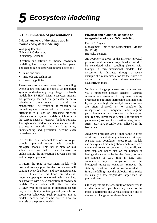## *5 Ecosystem Modelling*

#### **5.1 Summaries of presentations**

#### **Critical analysis of the status quo in marine ecosystem modelling**

Wolfgang Ebenhöh Universität Oldenburg, Oldenburg, Germany

Direction and attitude of marine ecosystem modelling has changed during the last years. The change can be observed in three directions:

- tasks and aims.
- methods and techniques,
- financing policies.

There seems to be a trend away from modelling whole ecosystems with the aim of an integrated system understanding (e.g. large food-web models like ERSEM). Many ecosystem models are presently focused on particular scenario calculations, often related to coastal zone management. The reduction of modelling to limited aspects together with a stronger data orientation is a sign of increasing practical relevance of ecosystem models which reflects the current needs of research funding policies. Through other modern mathematical methods, e.g. neural networks, the two large aims, understanding and prediction, become even more decoupled.

In 1990 the most important task was to couple complex physical models with complex biological models. This task is more or less solved and has led to an increase in understanding the interaction between physical and biological processes.

In future, the trend to ecosystem models with practical use as support for decision makers will continue. New data bases and new measurement tools will increase this trend. Nevertheless, important open questions remain which can best be answered with a new generation of ecosystem models. These models will differ from the ERSEM type of models in an important aspect: they will explicitly contain general principles of ecosystem behaviour. Such principles aim at model reduction and can be derived from an analysis of the present models.

#### **Physical and numerical aspects of integrated ecological 3-D modelling**

Patrick J. Luyten Management Unit of the Mathematical Models (MUMM), Brussels, Belgium

An overview is given of the different physical processes and numerical aspects which need to be considered when coupling physics with biology in three-dimensional models. The discussion is illustrated through a recent example of a yearly simulation for the North Sea carried out by the three-dimensional COHERENS model.

Vertical exchange processes are parameterised via a turbulence closure scheme. Accurate schemes are essential to represent mixing processes in stratified thermocline and halocline layers (where high chlorophyll concentrations are often observed) or to simulate the resuspension of inorganic and organic particulate matter in shallow areas with a strong tidal regime. Direct measurements of turbulence parameters (profiles of dissipation rates, bottom stress, etc.) have recently been collected in the North Sea.

Advective processes are of importance in areas of strong concentration gradients and at open sea and river boundaries. Most recent models use an explicit time-integration which imposes a numerical constraint on the maximum allowed time step and hence also on the number of biological state variables for the biology to limit the amount of CPU time in long term simulations. Implicit integration of the biological transport equations removes the stability constraint and is recommended in future modelling since the biological time scales are usually a few magnitudes larger than the physical ones.

Other aspects are the sensitivity of model results to the input of open boundary data, to the model's horizontal and vertical resolution and to the heat exchange at the air/sea interface.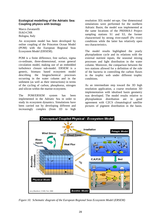#### **Ecological modelling of the Adriatic Sea: Coupling physics with biology**

Marco Zavatarelli ISAO-CNR Bologna, Italy

An ecosystem model has been developed by online coupling of the Princeton Ocean Model (POM) with the European Regional Seas Ecosystem Model (ERSEM).

POM is a finite difference, free surface, sigma co-ordinate, three-dimensional, ocean general circulation model, making use of an embedded turbulence closure sub-model. ERSEM is a generic, biomass based ecosystem model describing the biogeochemical processes occurring in the water column and in the sediment (as well as their interactions) in terms of the cycling of carbon, phosphorus, nitrogen and silicon within the marine ecosystem.

The POM/ERSEM system has been implemented in the Adriatic Sea in order to study its ecosystem dynamics. Simulations have been carried out by developing different and increasingly complex (from 1D to high

resolution 3D) model set-ups. One dimensional simulations were performed for the northern Adriatic Basin; the model was implemented at the same locations of the PRISMA-I Project sampling stations S1 and S3, the former characterised by strong river-runoff (Po river) conditions while the latter has relatively open sea characteristics.

The model results highlighted the yearly phytoplankton cycle and its relations with the external nutrient inputs, the seasonal mixing processes and light distribution in the water column. Moreover, the comparison between the two stations allowed for a definition of the role of the bacteria in controlling the carbon fluxes in the trophic web under different trophic conditions.

As an intermediate step toward the 3D high resolution application, a coarse resolution 3D implementation with idealised basin geometry was developed. The model results relative to phytoplankton distribution are in good agreement with CZCS climatological satellite pictures of pigment distribution in the basin.



*Figure 10. Schematic diagram of the European Regional Seas Ecosystem Model (ERSEM)*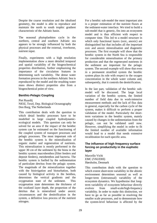Despite the coarse resolution and the idealised geometry, the model is able to reproduce and maintain the north to south trophic gradient characteristic of the Adriatic basin.

The seasonal phytoplankton cycle in the northern, central and southern Adriatic sea appears to be strongly influenced by both the physical processes and the external, riverborne, nutrient input.

Finally, experiments with a high resolution implementation show a more detailed temporal and spatial variability of the biogeochemical properties distribution, further emphasising the importance of the circulation features in determining such variability. The dense water formation process in the northern Adriatic Sea is reproduced by the model and the resulting water mass shows distinct properties also from a biogeochemical point of view.

#### **Benthic-Pelagic Coupling**

Piet Ruardij

NIOZ, Texel, Dep. Biological Oceanography Den Burg, The Netherlands

This contribution deals with the question to which detail benthic processes have to be modelled in large coupled hydrodynamicecological models. This question can only be solved for an area if the impact of the benthic system can be estimated on the functioning of the coupled system of transport processes and pelagic processes. The most important role of the benthic system is the mineralization of organic matter and regeneration of nutrients. This mineralization is mostly performed in the upper 30 cm of the sediment by the biota in the benthic system: macrobenthos (filter feeders and deposit feeders), meiobenthos and bacteria. The benthic system is fuelled by the sedimentation of particulate detritus from the pelagic system. The magnitude of the mineralization together with the bioirrigation and bioturbation, both caused by biological activity in the benthos, determines the vertical gradients and the oxygenation state of the sediment. This oxygenation state determines the thickness of the oxidized layer depth, the proportion of the detritus that is mineralized under anoxic circumstances and the denitrification in the system, a definitive loss process of the nutrient nitrogen.

For a benthic sub-model the most important aim is a proper estimation of the nutrient fluxes at the sediment-water interface. We tried to build a sub-model that is generic, fits into an ecosystem model and is thus efficient with respect to computer time. This led to a model structure in which only functional layers (oxic, anoxic) are distinguished but that includes all the important oxic and anoxic mineralisation and diagenetic processes. The first example will show that the benthic system in the North Sea is responsible for considerable mineralisation of the primary production and that the regenerated nutrients in the sediment are important for the pelagic system. The second example will show that even in a permanent stratified system the benthic system plays its role with respect to the oxygen concentration in the whole water column and, subsequently, that it controls the denitrification.

In the last part, validation of the benthic submodel will be discussed. The large local variation of the benthic system, the limited number of field data due to work-intensive measurement methods and the lack of flux data in general, especially for the carbon cycle of the system, makes it difficult to perform a proper validation of the model. Particularly the shortterm variations in the benthic system, mainly caused by changes in the sedimentation from the pelagic, can not be validated until now. However, simplifying the model in order to fit the limited number of available information would lead to a model that needs extensive recalibration for each specific area.

#### **The influence of high frequency surface forcing on productivity in the euphotic layer**

Marcello Vichi EMC (VKI/DHI) Hørsholm, Denmark

This contribution deals with the question to which extent short-term variability in the abiotic environment determines seasonal as well as longer-term (interannual) variability of the ecosystem dynamics. We hypothesise that longterm variability of ecosystem behaviour directly evolves from small-scale/high-frequency variability. In order to make this distinction, we have to go as far as possible in resolving the smaller scale processes, and to demonstrate how the system-level behaviour is affected by the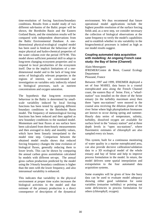time-resolution of forcing functions/boundary conditions. Results from a model study of two different sub-basins of the Baltic proper will be shown, the Bornholm Basin and the Eastern Gotland Basin, and the simulation results will be compared with independent observations from the Baltic Environmental Database. A onedimensional physical-ecological coupled model has been used to hindcast the behaviour of the major physical and hydro-chemical properties of the water column over the period 1979-90. This model shows sufficient potential skill to adapt to long-term changing ecosystem properties and to respond to local peculiarities of the ecosystem itself. Due to the implicit limitations of a onedimensional model and to the lack of long time series of biologically relevant properties in the regions of interest, we concentrated our investigation on variables only indirectly related to biological processes, such as nutrient concentrations and oxygen saturation.

The hypothesis that long-term ecosystem behaviour in the Baltic is determined by smallscale variability induced by local forcing functions has been tested by applying different boundary conditions to the Bornholm Basin model. The frequency of meteorological forcing functions has been reduced and then applied as new boundary conditions to the standard model. Momentum and heat fluxes at sea surface have been calculated from three-hourly measurements and then averaged to daily and monthly values, which have been linearly interpolated to the model time step. Comparison between the obtained model results shows that reduced forcing frequency changes the time evolution of biological fluxes, generally reducing them to lower levels. This can be shown by comparing the annual carbon gross assimilation calculated by models with different set-ups. The annual gross carbon production predicted by the model using the 3-hourly boundary conditions is higher than the ones with the lower frequency, and also interannual variability is enhanced.

This indicates that variability in the physical environment at proper time scales increases the biological activities in the model and that estimate of the primary production is a direct consequence of description of the dynamical

environment. We thus recommend that future operational model applications include the highest possible resolution of the surface forcing fields and, as a next step, we consider necessary the collection of biological observations at the same frequency to verify the model's capabilities and to establish whether in situ variability in the biogeochemical processes is indeed as high as our model results suggest.

#### **Coupling automated data acquisition with modelling: An ongoing French case study: the Bay of Seine (Channel)**

Alain Menesguen

IFREMER/Centre de Brest, Coastal Ecology Department Plouzané, France

Between 1997 and 1999, IFREMER deployed a

set of four MAREL data buoys in a coastal eutrophicated area along the French Channel coast, the eastern Bay of Seine. First, a "wharfstation" was installed on the shore of the Seine estuary (in the turbidity maximum area) then three "open sea-stations" were moored in the coastal area receiving the dilution plume of the river Seine where high phytoplankton biomasses are known to occur during spring and summer. Hourly data series of temperature, salinity, turbidity, dissolved oxygen are available for surface level in the "estuary station" and at three depth levels in "open sea-stations", where fluorimetric estimates of chlorophyll are also sampled every six hours.

This system, built for a continuous monitoring of water quality in a marine eutrophicated area, can also provide decisive calibration/validation data to a 3D ecological model of the whole estuary and bay of Seine and help to improve process formulation in the model. In return, the model delivers some spatial interpolation and extrapolation to the four automated data acquisition systems.

Some examples will be given of how the buoy data can be used to evaluate model adequacy showing either good validation for some variables (estuarine turbidity) or pointing out some deficiencies in process formulation for others (chlorophyll, oxygen).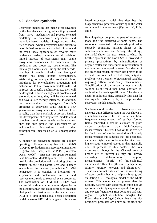#### **5.2 Session synthesis**

Ecosystem modelling has made great advances in the last decades during which it progressed from "naïve" mechanistic and process oriented modelling to data-driven approaches and individual-based models. Large projects that tried to model whole ecosystems have proven to be of limited use (also due to a lack of data) and the trend today appears to go towards more modest and perhaps more successful models of limited aspects of ecosystems (e.g. single ecosystems components like commercial fish production and processes, special events like toxic algal blooms, etc). During the last decade, coupling of complex physical and biological models has been largely accomplished, establishing, for example, the prominent role of turbulence for phytoplankton production and distribution. Future ecosystem models will tend to focus on specific applications, i.e. they will be designed to solve management problems and economic questions, they will be data oriented and have a user-friendly interface. In addition, the understanding of aggregate ("holistic") properties of ecosystem could lead to a new generation of ecosystem models that are closer to reality than those available at present. Finally, the development of "integrative" models could combine natural processes with socio-economic ones and thus predict the consequences of technological innovations and other anthropogenic impacts on an all-encompassing level.

A number of ecosystem models are already operating in Europe, among them COHERENS (COupled Hydrodynamical Ecological model for REgioNal Shelf seas), and the POM (Princeton Ocean Model) / ERSEM (European Regional Seas Ecosystem Model) system. COHERENS is used for the prediction and monitoring of waste material in shelf and coastal seas and is freely available on the Internet (through the MUMM homepage). It is coupled to biological, resuspension and contaminant models, and resolves meso-scale to seasonal scale processes. The combination of POM and ERSEM was successful in simulating ecosystem dynamics in the Mediterranean and could reproduce seasonal phytoplankton distribution in the whole basin. POM is a three-dimensional ocean circulation model whereas ERSEM is a generic biomass-

based ecosystem model that describes the biogeochemical processes occurring in the water column and in the sediment (Cycles of C, P, N, and Si).

Benthic-pelagic coupling as part of ecosystem modelling was discussed at some depth. The sub-model presented to the workshop aimed at correctly estimating nutrient fluxes at the sediment-water interface. Among other things, the model shows the great extent to which the benthic system in the North Sea is involved in primary productivity by mineralisation of organic matter and subsequent reintroduction of nutrients into the aquatic system. Validation of the described model, however, has proven to be difficult due to a lack of field data, a typical problem when it comes to biochemical variables requiring difficult and costly measurements. Simplification of the model is not a viable solution as it would then need laborious recalibration for each specific area. Therefore, a need for additional data, especially flux data for the aquatic carbon cycle, to help validate ecosystem models must be noted.

Spatio-temporal scales of observations can generate quite different results as was shown in a simulation exercise for the Baltic Sea. Lowfrequency measurements of surface forcing fields generated a smaller estimate of gross carbon production than high-frequency measurements. This result has yet to be verified by field data of similar resolution (3 hourly measurements) but suggests that bio-ecological variables might have to be sampled at a much higher spatio-temporal resolution than generally done at present. In this context, the four experimental buoys in the Channel area of France are of interest as they are already delivering high-resolution temporal measurements (hourly) of bio-ecological variables at different depth levels (temperature, salinity, turbidity, oxygen, and chlorophyll). These data are not only used for the monitoring of water quality but also help calibrating and validating a 3-D ecological model of the whole estuary. This model can at present describe turbidity patterns with good results but is not yet apt to satisfactorily explain temporal chlorophyll and oxygen fluctuations (not doing too bad with regard to spatial distribution, though). The French data could (again) show that many bioecological processes are linked to the tides and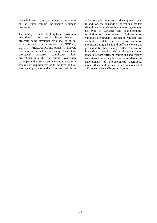that wind effects can reach down to the bottom of the water column influencing sediment processes.

The ability to address long-term ecosystem evolution as a response to climate change is presently being developed by global or basinwide models (for example by GODAE, CLIVAR, MERCATOR and others). However, the short-term nature of many local bioecological processes complicates their projections into the far future. Workshop participants therefore recommended to carefully assess user requirements as to the type of bioecological products and to forecast periods in

order to avoid unnecessary development costs. In addition, the demands of operational models should be used to determine monitoring strategy, i.e. type of variables and spatio-temporal resolution of measurements. High-resolution variables are urgently needed to validate and calibrate models but a lower-resolution monitoring might be found sufficient once this process is finished. Finally, better co-operation in sharing data and validation of models among modellers from different institutions and regions was viewed necessary in order to accelerate the development of bio-ecological operational models that could become shared components of a European Ocean Observing System.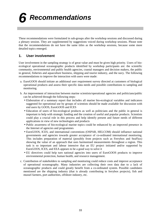*6 Recommendations*

These recommendations were formulated in sub-groups after the workshop sessions and discussed during a plenary session. They are supplemented by suggestions voiced during workshop sessions. Please note that the recommendations do not have the same titles as the workshop sessions, because some more detailed topics emerged.

#### **1. User involvement**

User involvement in the sampling strategy is of great value and must be given high priority. Users of bioecological operational oceanographic products identified by workshop participants are: the scientific community, environmental and public health agencies, coastal managers and decision makers, the public in general, fisheries and aquaculture business, shipping and tourist industry, and the navy. The following recommendations to improve the interaction with users were made:

- a. EuroGOOS should initiate an additional user requirement survey directed at customers of biological operational products and assess their specific data needs and possible contributions to sampling and monitoring.
- b. An improvement of interaction between marine scientists/operational agencies and politicians/public can be achieved through the following steps:
	- Elaboration of a summary report that includes all marine bio-ecological variables and indicators suggested for operational use by groups of scientists should be made available for discussion with end users by GOOS, EuroGOOS and ICES
	- Education of users of bio-ecological products as well as politicians and the public in general is important to help with strategic funding and the creation of useful and popular products. Scientists could play a crucial role in this process and help identify present and future needs of different applications in view of new technologies and products
	- Public awareness of bio-ecological marine topics could be enhanced by an improved presence in the Internet of agencies and programmes
	- EuroGOOS, ICES, and international conventions (OSPAR, HELCOM) should influence national governments and agencies towards greater acceptance of co-ordinated international monitoring. This includes preparation of material (possibly from projects such as Ferrybox and SeaFlux) showing the value of an approach that uses harmonised measurements throughout a region. This task is so important and labour intensive that an EU project initiated and/or supported by EuroGOOS, ICES, and EEA appears to be a good way to solve it
	- EU directives could help turn national agencies into users of EuroGOOS products to improve environmental protection, human health, and resource management.
- c. Contribution of stakeholders to sampling and monitoring could reduce costs and improve acceptance of operational oceanography. Many industries are collecting their own data due to a lack of oceanographic products and could greatly benefit from a co-ordinated system. Possible candidates mentioned are the shipping industry (that is already contributing in ferrybox projects), fish and mussel farmers, port authorities, offshore industry, etc.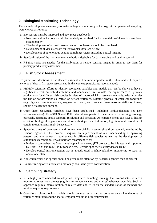#### **2. Biological Monitoring Technology**

The main developments necessary to make biological monitoring technology fit for operational sampling, were viewed as follows:

- a. Bio-sensors must be improved and new types developed:
	- New medical technology should be regularly scrutinised for its potential usefulness in operational oceanography
	- The development of acoustic assessment of zooplankton should be completed
	- Development of visual sensors for ichthyoplankton (see below)
	- Development of autonomous benthic sampling systems including optical imaging
- b. Standardisation of the most common methods is desirable for data merging and quality control
- c. P-I time series are needed for the calibration of remote sensing images in order to use them for primary productivity assessment

#### **3. Fish Stock Assessment**

Ecosystem considerations in fish stock assessment will be more important in the future and will require a new type of data in fish stock assessment. In this context, participants recommended:

- a. Multiply scientific efforts to identify ecological variables and models that can be shown to have a significant effect on fish distribution and abundance. Re-evaluate the significance of primary productivity for different fish species in view of improved PP assessment methods. Also, consider the use of bottom variables instead of surface variables. Extreme physical or chemical conditions (e.g. high and low temperature, oxygen deficiency, etc) that can cause mass mortality or illness, should be taken into account.
- b. Once these ecosystem variables have been established (including ichthyoplankton, see next recommendation), EuroGOOS and ICES should co-operate to determine a monitoring strategy, especially regarding spatio-temporal resolution and precision. As extreme events can have a distinct effect on biological organisms even at very short periods of duration, high temporal resolution of certain measurements might be necessary.
- c. Spawning areas of commercial and non-commercial fish species should be regularly monitored by fisheries agencies. This, however, requires an improvement of our understanding of spawning patterns and environmental requirements in different fish species as well as the development of autonomous technology. It was therefore recommended to:
	- Initiate a comprehensive 3-year ichthyoplankton survey (EU project to be initiated and supported by EuroGOOS and ICES) in European Seas. Perform spot checks every decade (ICES)
	- Develop optical instrumentation that is already used in ichthyoplankton monitoring to reach an operational state
- d. Non-commercial fish species should be given more attention by fisheries agencies than at present
- e. Routine tracing of fish routes via radio tags should be given consideration

#### **4. Sampling Strategy**

- a. It is highly recommended to adopt an integrated sampling strategy that co-ordinates different monitoring types and schemes (e.g. in-situ, remote sensing and cruises) whenever possible. Such an approach requires intercalibration of related data and relies on the standardisation of methods and minimum quality requirements.
- b. Operational bio-ecological models should be used as a starting point to determine the type of variables monitored and the spatio-temporal resolution of measurements.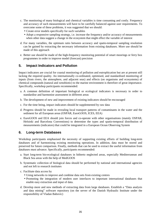- c. The monitoring of many biological and chemical variables is time consuming and costly. Frequency and accuracy of such measurements will have to be carefully balanced against user requirements. To overcome some of these problems, it was suggested that we should:
	- Create error models specifically for such variables
	- Adopt a responsive sampling strategy, i.e. increase the frequency and/or accuracy of measurements when other data suggest a change in the ecosystem that might effect the variable of interest
- d. For many variables, the optimum ratio between accuracy and spatio-temporal sampling resolution can be gained by extracting the necessary information from existing databases. More use should be made of this approach
- e. Better use should be made of the high-frequency monitoring potential of smart moorings or ferry box programmes in order to improve model (forecast) precision

#### **5. Impact Indicators and Pollution**

Impact indicators are crucial for coastal monitoring of pollution and eutrophication but are at present still lacking the required quality. An internationally co-ordinated, optimised, and standardised monitoring of inputs (from rivers, the atmosphere, and adjacent seas) and effects (on organisms and ecosystems) of chemical compounds (natural and xenobiotic) to the marine environment is therefore of great importance. Specifically, workshop participants recommended:

- a. A common definition of important biological or ecological indicators is necessary in order to standardise and harmonise assessment in different areas
- b. The development of new and improvement of existing indicators should be encouraged
- c. For the time being, impact indicators should be supplemented by raw data
- d. Progress should be made in revealing local transport patterns of contaminants in the water and the sediment for all European areas (OSPAR, EuroGOOS, ICES, EEA)
- e. EuroGOOS and EEA should join forces and co-operate with other organisations (mainly OSPAR, Helsinki and Barcelona Conventions) to determine the types and spatio-temporal distribution of measurements (indicators) that could be integrated in a European Ocean Observing System

#### **6. Long-term Databases**

Workshop participants emphasised the necessity of supporting existing efforts of building long-term databases and of harmonising existing monitoring operations. In addition, data must be stored and preserved for future comparison. Finally, methods that can be used to extract the useful information from databases must advance. Specifically, participants recommended:

- a. Start long-term bio-ecological databases in hitherto neglected areas, especially Mediterranean and Black Sea areas with the help of MedGOOS
- b. Systematic collection of biological data should be performed by national and international agencies and not left to research institutes
- c. Facilitate data access by
	- Using networks to improve and combine data sets from existing centres
	- Promoting the integration of modern user interfaces to important international databases that enable easy extraction and input of data.
- d. Develop more and new methods of extracting data from large databases. Establish a "Data analysis and data mining" software repository (on the server of the Danish Hydraulic Institute under the responsibility of Vladan Babovic)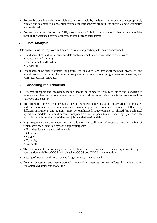- e. Ensure that existing archives of biological material held by institutes and museums are appropriately curated and maintained as potential sources for retrospective study in the future as new techniques are developed.
- f. Ensure the continuation of the CPR, also in view of hindcasting changes in benthic communities through the variance patterns of meroplankton (Echinoderm larvae)

#### **7. Data Analysis**

Data analysis must be improved and extended. Workshop participants thus recommended

- a. Establishment of (virtual) centres for data analyses which tasks it would be to assist with:
	- Education and training
	- Taxonomic identification
	- Modelling
- b. Establishment of quality criteria for parameters, analytical and statistical methods, processes, and model results. This should be done in co-operation by international programmes and agencies, e.g. ICES, EuroGOOS, EEA etc.

#### **8. Modelling requirements**

- a. Different transport and ecosystem models should be compared with each other and standardised before using them on an operational basis. They could be tested using data from projects such as Ferrybox and SeaFlux
- b. The efforts of EuroGOOS in bringing together European modelling expertise are greatly appreciated and the importance of a continuation and broadening of the co-operation among modellers from different institutions and regions must be emphasised. Development of shared bio-ecological operational models that could become components of a European Ocean Observing System is only possible through the sharing of data and joint validation of models
- c. High-frequency data are needed for the validation and calibration of ecosystem models, a few of which have been identified by workshop participants:
	- Flux data for the aquatic carbon cycle
	- Chlorophyll
	- Oxygen
	- Turbidity
	- Nutrients
- d. The development of new ecosystem models should be based on identified user requirements, e.g. in consultation with EuroGOOS and using EuroGOOS and GOOS documentation
- e. Nesting of models on different scales (mega micro) is encouraged
- f. Benthic processes and benthic-pelagic interaction deserves further efforts in understanding ecosystem dynamics and modelling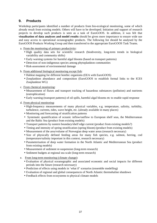#### **9. Products**

Workshop participants identified a number of products from bio-ecological monitoring, some of which already result from existing models. Others will have to be developed. Initiation and support of research projects to develop such products is seen as a task of EuroGOOS. In addition, it was felt that **visualisation of data analyses and model results** should be given more importance to ensure wide use and easy access to operational oceanographic products. The following list should be analysed by the EuroGOOS Products Working Group and then transferred to the appropriate EuroGOOS Task Teams.

- a. From the monitoring of primary productivity:
	- High quality data sets for scientific research (biodiversity, long-term trends in biological variability and community shifts)
	- Early warning systems for harmful algal blooms (based on transport patterns)
	- Detection of non-indigenous species among phytoplankton communities
	- Risk-assessment of environmental damage
- b. From additional biological monitoring except fish:
	- Habitat mapping for different benthic organisms (EEA with EuroGOOS)
	- Zooplankton abundance and composition (EuroGOOS to establish formal links to the ICES Zooplankton WG)
- c. From chemical monitoring:
	- Measurement of fluxes and transport tracking of hazardous substances (pollution) and nutrients (eutrophication)
	- Early warning (transport patterns) of oil spills, harmful algal blooms etc to enable rapid response
- d. From physical monitoring:
	- High-frequency measurements of many physical variables, e.g. temperature, salinity, turbidity, turbulence, currents, tides, wave height, etc. (already available in many places)
	- Monitoring and forecasting of stratification patterns
	- Systematic quantification of oceanic inflow/outflow to European shelf seas, the Mediterranean and the Baltic Sea (product from existing models)
	- Transport patterns by eastern boundary/shelf edge current (product from existing models?)
	- Timing and intensity of spring stratification (spring bloom) (product from existing models)
	- Measurement of the area/volume of Norwegian deep water areas (research necessary)
	- Size of physically defined feeding areas for many fish species, e.g. salmon, herring, cod (temperature/salinity important in this context, research necessary)
	- Parameterisation of deep water formation in the North Atlantic and Mediterranean Sea (product from existing models)
	- Measurement of sediment re-suspension (long-term research)
	- Sediment budgets at regional sea scale (long-term research)
- e. From long-term monitoring (climate change):
	- Evaluation of physical oceanographic and associated economic and social impacts for different periods into the future (research necessary)
	- Prediction of effects using models in 'what if' scenarios (ensemble modelling)
	- Evaluation of regional and global consequences of North Atlantic thermohaline shutdown
	- Feedback effects from ecosystems to physical climate models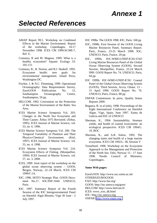## *Annexe 1*

## *Selected References*

- AMAP Report 99:1. Workshop on Combined Effects in the Marine Environment. Report of the workshop, Copenhagen, 16-17 November 1998. ICES CM 1999/ACME:7, Ref. E.
- Costanza, R and M. Mageau. 1999. What is a healthy ecosystem? Aquatic Ecology 33: 105-115
- Costanza, R., B. Norton, and B.J. Haskell. 1992. Ecosystem health: new goals for environmental management. Island Press, Washington DC.
- Fischer, J. & N.C. Flemming, 1999. Operational Oceanography: Data Requirements Survey. EuroGOOS Publications No. 12, Southampton Oceanography Centre, Southampton, 59 pp.
- HELCOM. 1992. Convention on the Protection of the Marine Environment of the Baltic Sea Area.
- ICES Marine Science Symposia Vol. 203: Changes in the North Sea Ecosystem and Their Causes: Århus 1975 Revisited. (Århus, 1995). ICES Journal of Marine Science, vol. 53, no. 6. 1996.
- ICES Marine Science Symposia Vol. 206: The Temporal Variability of Plankton and Their Physico-Chemical Environment. (Kiel, 1997). ICES Journal of Marine Science, vol. 55, no. 4. 1998.
- ICES Marine Science Symposia Vol. 210. Ecosystem Effects of Fishing. (Montpellier, 1999). ICES Journal of Marine Science, vol. 57, no. 3. 2000.
- ICES, 1999. Joint report of the workshop on the global ocean observing system – GOOS, Bergen, Norway, 22–24 March. ICES CM 1999/C:14.
- IOC, 1996. HOTO Strategic Plan. GOOS Document No.17, IOC/INF-1044. UNESCO, Paris.
- IOC. 1997. Summary Report of the Fourth Session of the IOC Intergovernmental Panel on Harmful Algal Blooms, Vigo 30 June - 2 July 1997.

IOC 1998a. The GOOS 1998. IOC, Paris: 168 pp

- IOC, 1998b. First Session of the GOOS Living Marine Resources Panel, Summary Report. Paris, France, 23-25 March 1998. IOC, UNESCO, Paris, France, 20 pp.
- IOC, 1999a. IOC-WMO-UNEP-ICSU-FAO Living Marine Resources Panel of the Global Ocean Observing System (GOOS). Second Session, Montpellier, France, 22-24 March l999. GOOS Report No. 74. UNESCO, Paris, 64 pp.
- IOC 1999b. IOC-WMO-UNEP-ICSU Coastal Panel of the Global Ocean Observing System (GOOS). Third Session, Accra, Ghana. 13 – 15 April 1999. GOOS Report No. 76. UNESCO, Paris, France, 88 pp.
- OSPAR Commission. In press. Quality Status Reports 2000.
- Reguera, B. et al (eds), 1998. Proceedings of the Eight International Conference on Harmful Algae, Vigo, Spain, June 1997. Xunta de Galicia and IOC of UNESCO
- Sherman, K., 1994. Sustainability, biomass yields, and health of coastal exosystems: an ecological perspective. ICES CM 1994/L: 19, BOC
- Sherman, K., and A.R. Solow, 1992. The changing states and health of a large marine ecosystem. ICES CM 1992/L: 38, Session V
- TemaNord. 1998. Workshop on the Ecosystem Approach to the Management and Protection of the North Sea. Oslo, Norway 15 - 17 June 1998. Nordic Council of Ministers, Copenhagen..

#### **Some Web pages:**

EuroGOOS: http://www.soc.soton.ac.uk/ OTHERS/EUROGOOS/ FAO: http://www.fao.org/ GOOS: http://ioc.unesco.org/goos/ HELCOM: http://www.helcom.fi/ ICES: www\_ices\_dk.html IOC: http://ioc.unesco.org OSPAR:<http://www.ospar.org/>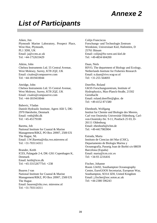## *Annexe 2*

## *List of Participants*

Aiken, Jim Plymouth Marine Laboratory, Prospect Place, West Hoe, Plymouth, PL1 3DH, UK Email: ja@ccms.ac.uk Tel: +44-1752633429

Atkins, John Chelsea Instruments Ltd. 55 Central Avenue, West Molesey, Surrey, KT8 2QZ, UK Email: cisales@compuserve.com Tel: +44-1819410044

Attridge, John Chelsea Instruments Ltd. 55 Central Avenue, West Molesey, Surrey, KT8 2QZ, UK Email: cisales@compuserve.com Tel: +44-1819410044

Babovic, Vladan Danish Hydraulic Institute, Agern Allé 5, DK-2970 Hørsholm, Denmark Email: vmh@dhi.dk Tel: +45-45179100

Baretta, Job National Institute for Coastal & Marine Management/RIKZ, PO Box 20907, 2500 EX The Hague, NL Email: J.W.Baretta@rikz.rws.minvenw.nl  $Tel: +31-703114311$ 

Brander, Keith ICES, Palægade 2-4, DK-1261 Copenhagen K, Denmark Email: keith@ices.dk Tel: +45-33152677Tel: +238

Buuren J van National Institute for Coastal & Marine Management/RIKZ, PO Box 20907, 2500 EX The Hague. Email: buuren@rikz.rws. minvenw.nl  $Tel·+31-703114311$ 

Colijn Franciscus Forschungs- und Technologie Zentrum Westküste, Universitaet Kiel, Hafentörn, D 25761 Büsum Email: colijn@ftz-west.uni-kiel.de Tel: +49-4834 604200

Daan, Niels RIVO, The department of Biology and Ecology, Netherlands Institute for Fisheries Research Email: n.daan@rivo.wag-ur.nl Tel: +31-255 564693

Doerffer, Roland GKSS Forschungszentrum, Institute of Hydrophysics, Max-Planck-Straße, 21502 **Geesthacht** Email: roland.doerffer@gkss. de Tel: +49-4152 871580

Ebenhoeh, Wolfgang Institut fur Chemie und Biologie des Meeres, Carl von Ossietzky Universität Oldenburg, Carlvon-Ossietzky-Str. 9-11, Postfach 25 03, D-26111 Oldenburg Email: ebenhoeh@icbm.de Tel: +49-4417983904

Estrada, Marta Instituto de Ciencias del Mar (CSIC), Departamento de Biología Marina y Oceanografía, Passeig Joan de Borbó s/n 08039 Barcelona (España) Email: marta@icm.csic.es Tel: +34-93 2216416

Fischer, Johanne Room 124/02, Southampton Oceanography Centre, EuroGOOS Secretariat, European Way, Southampton, SO14 3ZH, United Kingdom Email: j.fischer@soc.soton.ac.uk Tel: +44-2380 596243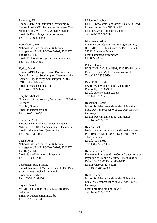#### Flemming, Nic

Room 014/12, Southampton Oceanography Centre, EuroGOOS Secretariat, European Way, Southampton, SO14 3ZH, United Kingdom Email: N.Flemming@soc. soton.ac.uk Tel: +44-2380 596242

Hoogeboom, Erin National Institute for Costal & Marine Management/RIKZ, PO Box 20907, 2500 EX The Hague, NL Email: E.Hoogeboom@rikz. rws.minvenw.nl Tel: +31-703114311

Hydes, David Room 674/19, George Deacon Division for Ocean Processes, Southampton Oceanography Center,European Way, Southampton, SO14 3ZH, United Kingdom Email: djh@soc.soton.ac.uk Tel: +44-2380 596547

Karydis, Michael University of the Aegean, Department of Marine Sciences Mytilini, Greece Email: mkar@aegean.gr Tel: +30-251 36255

Kuenitzer, Anita European Environment Agency, Kongens Nytorv 6, DK-1050 Copenhagen K, Denmark Email: anita.kuenitzer@eea. eu.int Tel: +45-33 367155

Laane, Remi National Institute for Costal & Marine Management/RIKZ, PO Box 20907, 2500 EX The Hague, NL Email: laane@rikz.rws. minvenw.nl Tel: +31-703114311

Leppaenen, Juha Markku Finnish Institute of Marine Research, P.O.Box 33, FIN-00931 Helsinki, Finland Email: jukkis@fimr.fi Tel: +358-9-61394564

Luyten, Patrick MUMM, Gulledelle 100, B-1200 Brussels, Belgium Email: P.Luyten@mumm.ac. be Tel: +32 2 7732138

Malcolm, Stephen CEFAS Lowestoft Laboratory, Pakefield Road, Lowestoft, Suffolk NR33 OHT Email: S.J.Malcolm@cefas.co.uk Tel: +44-1502 562244

Menesguen, Alain Directeur du Département Ecologie Cotière, IFREMER DEL/EC, Centre de Brest, BP 70- 29280, Louzane- France Email: amenesg@ifremer.fr 02 98 22 43 34

Peters, Herman RWS-DNZ, P.O. Box 5807, 2280 HV Rijswijk Email: h.c.peters@dnz.rws.minvenw.nl Tel: +31-70 336 6666

Reid, Phillip Chris SAHFOS, 1 Walker Terrace, The Hoe, Plymouth, PL1 3BN UK Email: pcre@wpo.nerc.ac.uk Tel: +44-1752 221112

Rosenthal, Harald Institut fur Meereskunde an der Universitat Kiel, Duesternbrooker Weg 20, D 24105 Kiel, Germany Email: hworthmann@ifm. uni-kiel.de Tel: +49-431 5973916

Ruardij, Piet Nederlands Instituut voor Onderzoek der Zee, P.O. Box 59, NL-1790 AB Den Burg, Texel, The Netherlands Email: rua@nioz.n Tel: +31-222 369475

Ruiz-Pino, Diana Universite Pierre et Marie Curie, Laboratoire de Physique et Chimie Marines, 4 Place Jussieu Boîte 134, 75005 Paris, FRANCE Email: ruiz@ccr.jussieu.fr Tel: +33-1 44274860

Rohlf, Norbert Institut fur Meereskunde an der Universitat Kiel, Duesternbrooker Weg 20, D 24105 Kiel, Germany Email: nrohlf@ifm.uni-kiel.de Tel: +49-431 5973925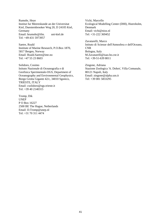Rumohr, Heye Institut fur Meereskunde an der Universitat Kiel, Duesternbrooker Weg 20, D 24105 Kiel, Germany Email: hrumohr@ifm. uni-kiel.de Tel: +49-431 5973957

Saetre, Roald Institute of Marine Research, P.O.Box 1870, 5817 Bergen, Norway Email: Roald.Saetre@imr.no Tel: +47 55 23 8603

Solidoro, Cosimo Istituto Nazionale di Oceanografia e di Geofisica Sperimentale-OGS, Department of Oceanography and Environmental Geophysics, Borgo Grotta Gigante 42/c, 34010 Sgonico, TRIESTE, ITALY Email: csolidoro@ogs.trieste.it Tel: +39 40 2140315

Tromp, Dik UNEP P O Box 16227 2500 BE The Hague, Netherlands Email: D.Tromp@unep.nl Tel: +31 70 311 4474

Vichi, Marcello Ecological Modelling Center (DHI), Hoersholm, Denmark Email: vichi@nioz.nl Tel: +31-222 369452

Zavatarelli, Marco Istituto di Scienze dell'Atmosfera e dell'Oceano, CNR Bologna, Italy M.Zavatarelli@isao.bo.cnr.it Tel: +39-51-639 8011

Zingone, Adriana Stazione Zoologica 'A. Dohrn', Villa Comunale, 80121 Napoli, Italy Email: zingone@alpha.szn.it Tel: +39 081 5833295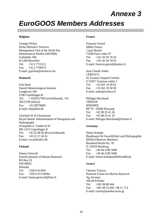## *Annexe 3*

### *EuroGOOS Members Addresses*

#### **Belgium**

Georges Pichot Prime Minister's Services Management Unit of the North Sea Mathematical Models (MUMM) Gulledelle 100 B-1200 Bruxelles Tel: +32 2 7732111 Fax:  $+32\ 2\ 7706972$ E-mail: g.pichot@mumm.ac.be

#### **Denmark**

Erik Buch Danish Meteorological Institute Lyngbyvej 100 2100 Copenhagen Ø Tel:  $+4539157500$  (switchboard),  $+45$ 39157259 (direct) Fax:  $+45,39270684$ E-mail: ebu@dmi.dk

Charlotte W H Christensen Royal Danish Administration of Navigation and Hydrography Overgaden o. Vandet 62 B DK-1415 Copenhagen K Tel: +45 32 68 95 00 (switchboard)  $Fax: +4531574341$ E-mail: cwc@fomfrv.dk

#### **Finland**

Hannu Grönvall Finnish Institute of Marine Research PO Box 33 FIN-00931 Helsinki Tel:  $+3589613941$ Fax: +358 9 613 94494 E-mail: hannu.gronvall@fimr.fi

#### **France**

François Gerard Météo France 1 quai Branly 75340 Paris cedex 07 Tel: +331 45 56 70 24 Fax: +331 45 56 70 05 E-mail: francois.gerard@meteo.fr

Jean-Claude Andre **CERFACS** 42 Avenue Gaspard Coriolis F-31057 Toulouse cedex 1 Tel: +33 561 19 30 01 Fax: +33 561 19 30 30 E-mail: andre@cerfacs.fr

Philippe Marchand TMSI/OP IFREMER BP 70 - 29280 Plouzané Tel: +02 98 22 41 26 Fax:  $+0298224135$ E-mail: Philippe.Marchand@ifremer.fr

#### **Germany**

Dieter Kohnke Bundesamt für Seeschiffahrt und Hydrographie (BSH) (Observer Member) Bernhard-Nocht-Str. 78 D. 20359 Hamburg Tel: +49 40 3190 3400  $\text{Fax}$  +49 40 3190 5000 E-mail: Dieter.Kohnke@BSH.d400.de

#### **Greece**

Christos Tziavos National Centre for Marine Research Ag. Kosmas 166 04 Elliniko Tel: +301 98 88 444 Fax: +301 98 33 095 / 98 11 713 E-mail: ctziav@posidon.ncmr.gr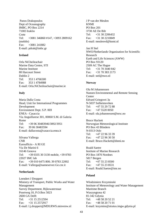Panos Drakopoulos Dept of Oceanography IMBC, PO Box 2214 71003 Iraklio Crete Tel: +3081 346860 #147, +3093 2809162 (mobile) Fax: +3081 241882 E-mail: pdrak@imbc.gr

#### **Ireland**

Orla NiCheileachair Marine Data Centre, STI Marine Institute 80 Harcourt Street Dublin 2 Tel: 353 1 4766500 Fax: 353 1 4784988 E-mail: Orla.NiCheileachair@marine.ie

#### **Italy**

Maria Dalla Costa Head, Unit for International Programmes Development Environment Dept. S.P. 069 ENEA - Casaccia Via Anguillarese 301, 00060 S.M. di Galeria Rome Tel: +39 06 30483946/3092/3951 Fax: 39 06 30483594 E-mail: dallacosta@casaccia.enea.it

Silvana Vallerga CNR Euroufficio - A RI GE Via De Marini 6 16146 Genova Tel: +39 0335 30 3130 mobile, +39 0783 22027 IMC lab Fax: +39 010 6475 800; 39 0783 22002 E-mail: Vallerga@nameserver.Ge.cnr.it

#### **Netherlands**

Leendert J Droppert Ministry of Transport, Public Works and Water Management Survey Department, Rijkswaterstaat Poortweg 10, P.O.Box 5023 2600 GA Delft Tel:  $+31$  15 2512594 Fax: +31 15 2572917 E-mail: l.j.droppert@MDI.RWS.minvenw.nl

J P van der Meulen KNMI PO Box 201 3730 AE De Bilt Tel: +31 30 2206432 Fax: +31 30 2210849 E-mail: meulenvd@knmi.nl

Jan H Stel NWO/Netherlands Organization for Scientific Research Earth and Life Sciences (AWW) PO Box 93120 2509 AC The Hague Tel: +31 70 3440 842  $Fax: +31703832173$ E-mail: stel@nwo.nl

#### **Norway**

Ola M Johannessen Nansen Environmental and Remote Sensing **Center** Edvard Griegsvei 3a N-5037 Solheimsviken Tel:  $+47,55,29,72,88$ Fax:  $+47,5520,0050$ E-mail: ola.johannessen@nrsc.no

Bruce Hackett Norwegian Meteorological Institute PO Box 43 Blindern N-0313 Oslo Tel:  $+47,22,96,33,39$ Fax:  $+4722963050$ E-mail: Bruce.Hackett@dnmi.no

Roald Saetre Institute of Marine Research PO Box 1870 Nordnes 5817 Bergen Tel:  $+47,55,23,8500$ Fax: +47 55 23 8531 E-mail: Roald.Saetre@imr.no

#### **Poland**

Wlodzimierz Krzyminski Institute of Meteorology and Water Management Maritime Branch Waszyngtona 42 81-342 Gdynia Tel: +48 58 20 52 21 Fax: +48 58 20 71 01 E-mail: krzymins@stratus.imgw.gdynia.pl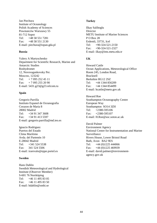Jan Piechura Institute of Oceanology Polish Academy of Sciences Powstanców Warszawy 55 81-712 Sopot Tel: +48 58 551 7281 Fax: +48 58 551 2130 E-mail: piechura@iopan.gda.pl

#### **Russia**

Valery A Martyschenko Department for Scientific Research, Marine and Antarctic Studies Roshydromet 12, Novovagankovsky Per. Moscow, 123242 Tel:  $+ 70952524511$ Fax:  $+ 70952552090$ E-mail: 5431.g23@g23.relcom.ru

#### **Spain**

Gregorio Parrilla Instituto Espanol de Oceanografia Corazon de Maria 8 28002 Madrid Tel: +34 91 347 3608 Fax: +34 91 413 5597 E-mail: gregorio.parrilla@md.ieo.es

Ignacio Rodriguez Puertos del Estado Clima Marítimo Avda. del Partenón 10 E-28042 Madrid Tel:  $+341\,524\,5538$ Fax: 341 524 5506 E-mail: irarevalo@eppe.portel.es

#### **Sweden**

Hans Dahlin Swedish Meteorological and Hydrological Institute (Observer Member) S-601 76 Norrköping Tel: +46 11 495 83 05 Fax: +46 11 495 83 50 E-mail: hdahlin@smhi.se

#### **Turkey**

Ilkay Salihoglu Director METU Institute of Marine Sciences PO Box 28 Erdemli, 33731, Icel Tel: +90-324-521-2150 Fax: +90-324-521-2327 E-mail: ilkay@ims.metu.edu.tr

#### **UK**

Howard Cattle Ocean Applications, Meteorological Office Room 245, London Road, Bracknell Berkshire RG12 2SZ Tel: +44 1344 856209 Fax: +44 1344 854499 E-mail: hcattle@meto.gov.uk

Howard Roe Southampton Oceanography Centre European Way Southampton SO14 3ZH Tel: +2380-595106 Fax: +2380-595107 E-mail: H.Roe@soc.soton.ac.uk

David Palmer Environment Agency National Centre for Instrumentation and Marine Surveillance Rivers House, Lower Bristol Road Bath, Avon BA2 9ES Tel: +44 (0)1225 444066 Fax:  $+44(0)1225469939$ E-mail: david.palmer@environmentagency.gov.uk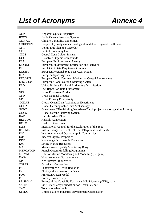## *List of Acronyms Annexe 4*

| AOP             | <b>Apparent Optical Properties</b>                                        |
|-----------------|---------------------------------------------------------------------------|
| <b>BOOS</b>     | <b>Baltic Ocean Observing System</b>                                      |
| <b>CLIVAR</b>   | <b>Climate Variability Experiment</b>                                     |
| <b>COHERENS</b> | Coupled Hydrodynamical Ecological model for Regional Shelf Seas           |
| <b>CPR</b>      | <b>Continuous Plankton Recorder</b>                                       |
| <b>CPU</b>      | <b>Central Processing Unit</b>                                            |
| <b>CZCS</b>     | <b>Coastal Zone Colour Scanner</b>                                        |
| <b>DOC</b>      | Dissolved Organic Compounds                                               |
| <b>EEA</b>      | European Environmental Agency                                             |
| <b>EIONET</b>   | European Environment Information and Network                              |
| <b>ERS</b>      | EuroGOOS Data Requirement Survey                                          |
| <b>ERSEM</b>    | European Regional Seas Ecosystem Model                                    |
| <b>ESA</b>      | <b>European Space Agency</b>                                              |
| ETC/MCE         | European Topic Centre on Marine and Coastal Environment                   |
| EuroGOOS        | European Global Ocean Observing System                                    |
| <b>FAO</b>      | United Nations Food and Agriculture Organisation                          |
| <b>FRRF</b>     | <b>Fast Repetition Rate Fluorometer</b>                                   |
| <b>GEP</b>      | <b>Gross Ecosystem Product</b>                                            |
| <b>GNP</b>      | <b>Gross National Product</b>                                             |
| <b>GPP</b>      | <b>Gross Primary Productivity</b>                                         |
| <b>GODAE</b>    | Global Ocean Data Assimilation Experiment                                 |
| <b>GODAR</b>    | Global Oceanographic Data Archaeology                                     |
| <b>GONZ</b>     | Graadmeter ONtwikkeling Noordzee (Dutch project on ecological indicators) |
| GOOS            | Global Ocean Observing System                                             |
| <b>HAB</b>      | Harmful Algal Bloom                                                       |
| <b>HELCOM</b>   | Helsinki Convention                                                       |
| <b>HOTO</b>     | Health of the Ocean                                                       |
| <b>ICES</b>     | International Council for the Exploration of the Seas                     |
| <b>IFREMER</b>  | Institut Français de Recherche pur l'Exploitation de la Mer               |
| <b>IOC</b>      | Intergovernmental Oceanographic Commission                                |
| <b>IOP</b>      | <b>Inherent Optical Properties</b>                                        |
| <b>KDD</b>      | Knowledge Discovery in Databases                                          |
| <b>LMR</b>      | <b>Living Marine Resources</b>                                            |
| <b>MAREL</b>    | Marine Water Quality Monitoring Buoy                                      |
| <b>MERCATOR</b> | French Ocean Modelling Programme                                          |
| <b>MUMM</b>     | Unit for Marine Monitoring and Modelling (Belgium)                        |
| <b>NASA</b>     | North American Space Agency                                               |
| <b>NPP</b>      | Net Primary Productivity                                                  |
| <b>OSPAR</b>    | <b>Oslo-Paris Convention</b>                                              |
| PAR             | Photosynthetic Active Radiation                                           |
| $P-I$           | Photosynthetic versus Irradiance                                          |
| <b>POM</b>      | Princeton Ocean Model                                                     |
| PP              | <b>Primary Productivity</b>                                               |
| PRISMA-I        | Project of the Consiglio Nazionale delle Ricerche (CNR), Italy            |
| <b>SAHFOS</b>   | Sir Alister Hardy Foundation for Ocean Science                            |
| <b>TAC</b>      | Total allowable catch                                                     |
| <b>UNIDO</b>    | United Nations Industrial Development Organisation                        |